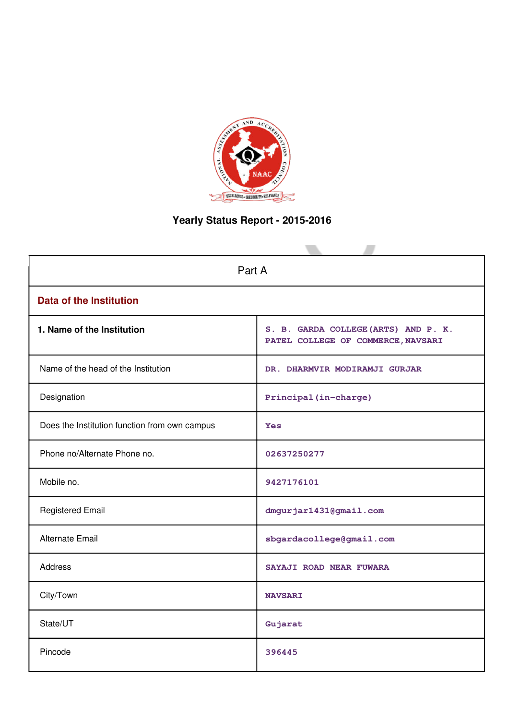

# **Yearly Status Report - 2015-2016**

| Part A                                        |                                                                            |  |  |  |  |  |  |  |
|-----------------------------------------------|----------------------------------------------------------------------------|--|--|--|--|--|--|--|
| <b>Data of the Institution</b>                |                                                                            |  |  |  |  |  |  |  |
| 1. Name of the Institution                    | S. B. GARDA COLLEGE (ARTS) AND P. K.<br>PATEL COLLEGE OF COMMERCE, NAVSARI |  |  |  |  |  |  |  |
| Name of the head of the Institution           | DR. DHARMVIR MODIRAMJI GURJAR                                              |  |  |  |  |  |  |  |
| Designation                                   | Principal (in-charge)                                                      |  |  |  |  |  |  |  |
| Does the Institution function from own campus | <b>Yes</b>                                                                 |  |  |  |  |  |  |  |
| Phone no/Alternate Phone no.                  | 02637250277                                                                |  |  |  |  |  |  |  |
| Mobile no.                                    | 9427176101                                                                 |  |  |  |  |  |  |  |
| <b>Registered Email</b>                       | dmgurjar1431@gmail.com                                                     |  |  |  |  |  |  |  |
| <b>Alternate Email</b>                        | sbgardacollege@gmail.com                                                   |  |  |  |  |  |  |  |
| <b>Address</b>                                | SAYAJI ROAD NEAR FUWARA                                                    |  |  |  |  |  |  |  |
| City/Town                                     | <b>NAVSARI</b>                                                             |  |  |  |  |  |  |  |
| State/UT                                      | Gujarat                                                                    |  |  |  |  |  |  |  |
| Pincode                                       | 396445                                                                     |  |  |  |  |  |  |  |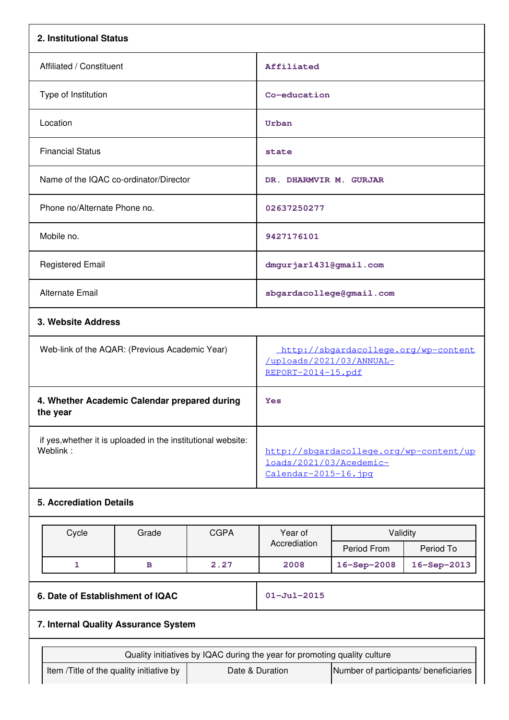| 2. Institutional Status                                                  |                                                                           |                                                                                            |                                       |             |  |  |  |
|--------------------------------------------------------------------------|---------------------------------------------------------------------------|--------------------------------------------------------------------------------------------|---------------------------------------|-------------|--|--|--|
| Affiliated / Constituent                                                 |                                                                           | Affiliated                                                                                 |                                       |             |  |  |  |
| Type of Institution                                                      |                                                                           | Co-education                                                                               |                                       |             |  |  |  |
| Location                                                                 |                                                                           | Urban                                                                                      |                                       |             |  |  |  |
| <b>Financial Status</b>                                                  |                                                                           | state                                                                                      |                                       |             |  |  |  |
| Name of the IQAC co-ordinator/Director                                   |                                                                           | DR. DHARMVIR M. GURJAR                                                                     |                                       |             |  |  |  |
| Phone no/Alternate Phone no.                                             |                                                                           | 02637250277                                                                                |                                       |             |  |  |  |
| Mobile no.                                                               |                                                                           | 9427176101                                                                                 |                                       |             |  |  |  |
| <b>Registered Email</b>                                                  |                                                                           | dmgurjar1431@gmail.com                                                                     |                                       |             |  |  |  |
| <b>Alternate Email</b>                                                   |                                                                           |                                                                                            | sbgardacollege@gmail.com              |             |  |  |  |
| 3. Website Address                                                       |                                                                           |                                                                                            |                                       |             |  |  |  |
| Web-link of the AQAR: (Previous Academic Year)                           |                                                                           | http://sbgardacollege.org/wp-content<br>/uploads/2021/03/ANNUAL-<br>REPORT-2014-15.pdf     |                                       |             |  |  |  |
| 4. Whether Academic Calendar prepared during<br>the year                 |                                                                           | Yes                                                                                        |                                       |             |  |  |  |
| if yes, whether it is uploaded in the institutional website:<br>Weblink: |                                                                           | http://sbgardacollege.org/wp-content/up<br>loads/2021/03/Acedemic-<br>Calendar-2015-16.jpg |                                       |             |  |  |  |
| <b>5. Accrediation Details</b>                                           |                                                                           |                                                                                            |                                       |             |  |  |  |
| Cycle<br>Grade                                                           | <b>CGPA</b>                                                               | Year of                                                                                    | Validity                              |             |  |  |  |
|                                                                          |                                                                           | Accrediation                                                                               | Period From                           | Period To   |  |  |  |
| $\mathbf{1}$<br>в                                                        | 2.27                                                                      | 2008                                                                                       | 16-Sep-2008                           | 16-Sep-2013 |  |  |  |
| 6. Date of Establishment of IQAC                                         |                                                                           | $01 - Ju1 - 2015$                                                                          |                                       |             |  |  |  |
|                                                                          | 7. Internal Quality Assurance System                                      |                                                                                            |                                       |             |  |  |  |
|                                                                          | Quality initiatives by IQAC during the year for promoting quality culture |                                                                                            |                                       |             |  |  |  |
| Item /Title of the quality initiative by                                 |                                                                           | Date & Duration                                                                            | Number of participants/ beneficiaries |             |  |  |  |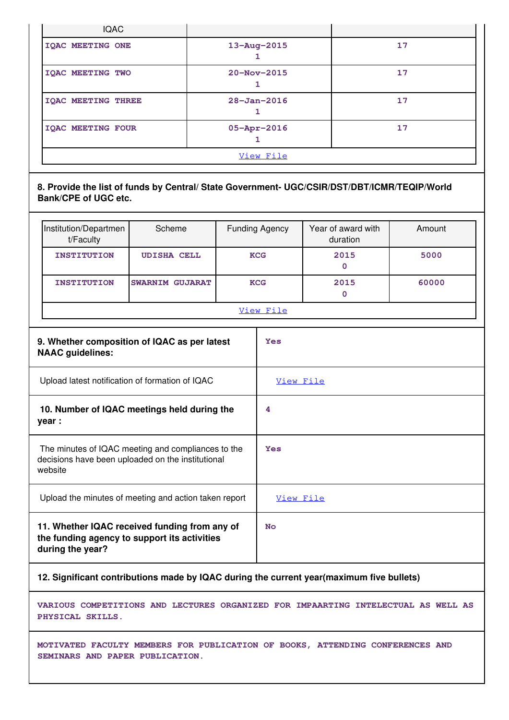| <b>IQAC</b>                                                                                                          |                        |  |                         |  |                                |        |
|----------------------------------------------------------------------------------------------------------------------|------------------------|--|-------------------------|--|--------------------------------|--------|
| <b>IQAC MEETING ONE</b>                                                                                              |                        |  | 13-Aug-2015<br>1        |  |                                | 17     |
| <b>IQAC MEETING TWO</b>                                                                                              |                        |  | 20-Nov-2015<br>1        |  |                                | 17     |
| <b>IQAC MEETING THREE</b>                                                                                            |                        |  | $28 - Jan - 2016$<br>1  |  |                                | 17     |
| <b>IQAC MEETING FOUR</b>                                                                                             |                        |  | $05 - Appr - 2016$<br>1 |  |                                | 17     |
|                                                                                                                      |                        |  | View File               |  |                                |        |
| 8. Provide the list of funds by Central/ State Government- UGC/CSIR/DST/DBT/ICMR/TEQIP/World<br>Bank/CPE of UGC etc. |                        |  |                         |  |                                |        |
| Institution/Departmen<br>t/Faculty                                                                                   | Scheme                 |  | <b>Funding Agency</b>   |  | Year of award with<br>duration | Amount |
| <b>INSTITUTION</b>                                                                                                   | <b>UDISHA CELL</b>     |  | <b>KCG</b>              |  | 2015<br>0                      | 5000   |
| <b>INSTITUTION</b>                                                                                                   | <b>SWARNIM GUJARAT</b> |  | 2015<br><b>KCG</b><br>0 |  |                                | 60000  |
|                                                                                                                      |                        |  | View File               |  |                                |        |
| 9. Whether composition of IQAC as per latest<br><b>NAAC</b> guidelines:                                              |                        |  | <b>Yes</b>              |  |                                |        |
| Upload latest notification of formation of IQAC                                                                      |                        |  | View File               |  |                                |        |
| 10. Number of IQAC meetings held during the<br>year :                                                                | 4                      |  |                         |  |                                |        |
| The minutes of IQAC meeting and compliances to the<br>decisions have been uploaded on the institutional<br>website   | Yes                    |  |                         |  |                                |        |
| Upload the minutes of meeting and action taken report                                                                |                        |  | View File               |  |                                |        |

**11. Whether IQAC received funding from any of the funding agency to support its activities during the year? No**

**12. Significant contributions made by IQAC during the current year(maximum five bullets)**

**VARIOUS COMPETITIONS AND LECTURES ORGANIZED FOR IMPAARTING INTELECTUAL AS WELL AS PHYSICAL SKILLS.**

**MOTIVATED FACULTY MEMBERS FOR PUBLICATION OF BOOKS, ATTENDING CONFERENCES AND SEMINARS AND PAPER PUBLICATION.**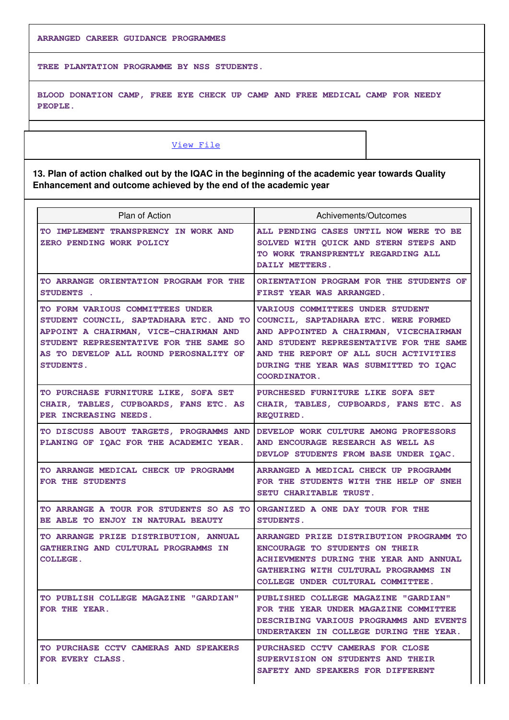**ARRANGED CAREER GUIDANCE PROGRAMMES**

**TREE PLANTATION PROGRAMME BY NSS STUDENTS.**

**BLOOD DONATION CAMP, FREE EYE CHECK UP CAMP AND FREE MEDICAL CAMP FOR NEEDY PEOPLE.**

### [View File](https://assessmentonline.naac.gov.in/public/Postacc/Contribution/8989_Contribution.xlsx)

**13. Plan of action chalked out by the IQAC in the beginning of the academic year towards Quality Enhancement and outcome achieved by the end of the academic year**

| Plan of Action                                                                                                                                                                                                               | Achivements/Outcomes                                                                                                                                                                                                                                                          |
|------------------------------------------------------------------------------------------------------------------------------------------------------------------------------------------------------------------------------|-------------------------------------------------------------------------------------------------------------------------------------------------------------------------------------------------------------------------------------------------------------------------------|
| TO IMPLEMENT TRANSPRENCY IN WORK AND<br>ZERO PENDING WORK POLICY                                                                                                                                                             | ALL PENDING CASES UNTIL NOW WERE TO BE<br>SOLVED WITH QUICK AND STERN STEPS AND<br>TO WORK TRANSPRENTLY REGARDING ALL<br>DAILY METTERS.                                                                                                                                       |
| TO ARRANGE ORIENTATION PROGRAM FOR THE<br>STUDENTS .                                                                                                                                                                         | ORIENTATION PROGRAM FOR THE STUDENTS OF<br>FIRST YEAR WAS ARRANGED.                                                                                                                                                                                                           |
| TO FORM VARIOUS COMMITTEES UNDER<br>STUDENT COUNCIL, SAPTADHARA ETC. AND TO<br>APPOINT A CHAIRMAN, VICE-CHAIRMAN AND<br>STUDENT REPRESENTATIVE FOR THE SAME SO<br>AS TO DEVELOP ALL ROUND PEROSNALITY OF<br><b>STUDENTS.</b> | <b>VARIOUS COMMITTEES UNDER STUDENT</b><br>COUNCIL, SAPTADHARA ETC. WERE FORMED<br>AND APPOINTED A CHAIRMAN, VICECHAIRMAN<br>AND STUDENT REPRESENTATIVE FOR THE SAME<br>AND THE REPORT OF ALL SUCH ACTIVITIES<br>DURING THE YEAR WAS SUBMITTED TO IQAC<br><b>COORDINATOR.</b> |
| TO PURCHASE FURNITURE LIKE, SOFA SET<br>CHAIR, TABLES, CUPBOARDS, FANS ETC. AS<br>PER INCREASING NEEDS.                                                                                                                      | PURCHESED FURNITURE LIKE SOFA SET<br>CHAIR, TABLES, CUPBOARDS, FANS ETC. AS<br><b>REQUIRED.</b>                                                                                                                                                                               |
| TO DISCUSS ABOUT TARGETS, PROGRAMMS AND<br>PLANING OF IOAC FOR THE ACADEMIC YEAR.                                                                                                                                            | DEVELOP WORK CULTURE AMONG PROFESSORS<br>AND ENCOURAGE RESEARCH AS WELL AS<br>DEVLOP STUDENTS FROM BASE UNDER IOAC.                                                                                                                                                           |
| TO ARRANGE MEDICAL CHECK UP PROGRAMM<br>FOR THE STUDENTS                                                                                                                                                                     | ARRANGED A MEDICAL CHECK UP PROGRAMM<br>FOR THE STUDENTS WITH THE HELP OF SNEH<br>SETU CHARITABLE TRUST.                                                                                                                                                                      |
| TO ARRANGE A TOUR FOR STUDENTS SO AS TO<br>BE ABLE TO ENJOY IN NATURAL BEAUTY                                                                                                                                                | ORGANIZED A ONE DAY TOUR FOR THE<br><b>STUDENTS.</b>                                                                                                                                                                                                                          |
| TO ARRANGE PRIZE DISTRIBUTION, ANNUAL<br>GATHERING AND CULTURAL PROGRAMMS IN<br><b>COLLEGE.</b>                                                                                                                              | ARRANGED PRIZE DISTRIBUTION PROGRAMM TO<br><b>ENCOURAGE TO STUDENTS ON THEIR</b><br>ACHIEVMENTS DURING THE YEAR AND ANNUAL<br>GATHERING WITH CULTURAL PROGRAMMS IN<br>COLLEGE UNDER CULTURAL COMMITTEE.                                                                       |
| TO PUBLISH COLLEGE MAGAZINE "GARDIAN"<br>FOR THE YEAR.                                                                                                                                                                       | PUBLISHED COLLEGE MAGAZINE "GARDIAN"<br>FOR THE YEAR UNDER MAGAZINE COMMITTEE<br>DESCRIBING VARIOUS PROGRAMMS AND EVENTS<br>UNDERTAKEN IN COLLEGE DURING THE YEAR.                                                                                                            |
| TO PURCHASE CCTV CAMERAS AND SPEAKERS<br>FOR EVERY CLASS.                                                                                                                                                                    | PURCHASED CCTV CAMERAS FOR CLOSE<br>SUPERVISION ON STUDENTS AND THEIR<br>SAFETY AND SPEAKERS FOR DIFFERENT                                                                                                                                                                    |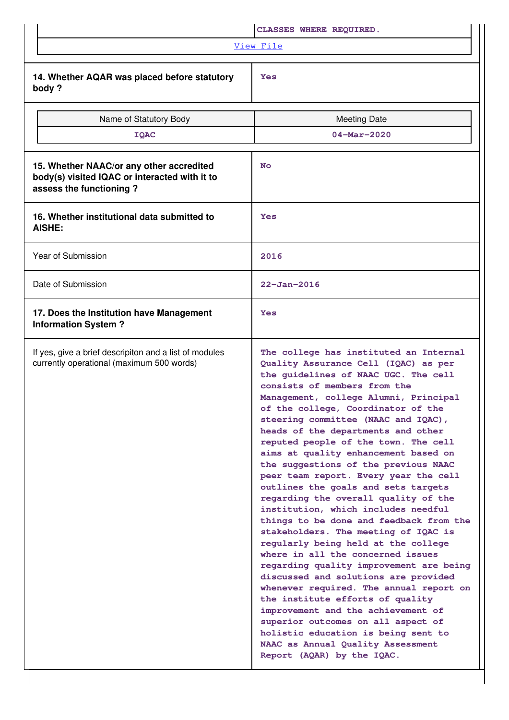|                                                                                                                      | CLASSES WHERE REQUIRED.                                                                                                                                                                                                                                                                                                                                                                                                                                                                                                                                                                                                                                                                                                                                                                                                                                                                                                                                                                                                                                                                                                          |
|----------------------------------------------------------------------------------------------------------------------|----------------------------------------------------------------------------------------------------------------------------------------------------------------------------------------------------------------------------------------------------------------------------------------------------------------------------------------------------------------------------------------------------------------------------------------------------------------------------------------------------------------------------------------------------------------------------------------------------------------------------------------------------------------------------------------------------------------------------------------------------------------------------------------------------------------------------------------------------------------------------------------------------------------------------------------------------------------------------------------------------------------------------------------------------------------------------------------------------------------------------------|
|                                                                                                                      | View File                                                                                                                                                                                                                                                                                                                                                                                                                                                                                                                                                                                                                                                                                                                                                                                                                                                                                                                                                                                                                                                                                                                        |
| 14. Whether AQAR was placed before statutory<br>body?                                                                | <b>Yes</b>                                                                                                                                                                                                                                                                                                                                                                                                                                                                                                                                                                                                                                                                                                                                                                                                                                                                                                                                                                                                                                                                                                                       |
| Name of Statutory Body                                                                                               | <b>Meeting Date</b>                                                                                                                                                                                                                                                                                                                                                                                                                                                                                                                                                                                                                                                                                                                                                                                                                                                                                                                                                                                                                                                                                                              |
| <b>IQAC</b>                                                                                                          | $04 - \text{Mar} - 2020$                                                                                                                                                                                                                                                                                                                                                                                                                                                                                                                                                                                                                                                                                                                                                                                                                                                                                                                                                                                                                                                                                                         |
| 15. Whether NAAC/or any other accredited<br>body(s) visited IQAC or interacted with it to<br>assess the functioning? | <b>No</b>                                                                                                                                                                                                                                                                                                                                                                                                                                                                                                                                                                                                                                                                                                                                                                                                                                                                                                                                                                                                                                                                                                                        |
| 16. Whether institutional data submitted to<br><b>AISHE:</b>                                                         | <b>Yes</b>                                                                                                                                                                                                                                                                                                                                                                                                                                                                                                                                                                                                                                                                                                                                                                                                                                                                                                                                                                                                                                                                                                                       |
| Year of Submission                                                                                                   | 2016                                                                                                                                                                                                                                                                                                                                                                                                                                                                                                                                                                                                                                                                                                                                                                                                                                                                                                                                                                                                                                                                                                                             |
| Date of Submission                                                                                                   | $22 - Jan - 2016$                                                                                                                                                                                                                                                                                                                                                                                                                                                                                                                                                                                                                                                                                                                                                                                                                                                                                                                                                                                                                                                                                                                |
| 17. Does the Institution have Management<br><b>Information System?</b>                                               | <b>Yes</b>                                                                                                                                                                                                                                                                                                                                                                                                                                                                                                                                                                                                                                                                                                                                                                                                                                                                                                                                                                                                                                                                                                                       |
| If yes, give a brief descripiton and a list of modules<br>currently operational (maximum 500 words)                  | The college has instituted an Internal<br>Quality Assurance Cell (IQAC) as per<br>the guidelines of NAAC UGC. The cell<br>consists of members from the<br>Management, college Alumni, Principal<br>of the college, Coordinator of the<br>steering committee (NAAC and IQAC),<br>heads of the departments and other<br>reputed people of the town. The cell<br>aims at quality enhancement based on<br>the suggestions of the previous NAAC<br>peer team report. Every year the cell<br>outlines the goals and sets targets<br>regarding the overall quality of the<br>institution, which includes needful<br>things to be done and feedback from the<br>stakeholders. The meeting of IQAC is<br>regularly being held at the college<br>where in all the concerned issues<br>regarding quality improvement are being<br>discussed and solutions are provided<br>whenever required. The annual report on<br>the institute efforts of quality<br>improvement and the achievement of<br>superior outcomes on all aspect of<br>holistic education is being sent to<br>NAAC as Annual Quality Assessment<br>Report (AQAR) by the IQAC. |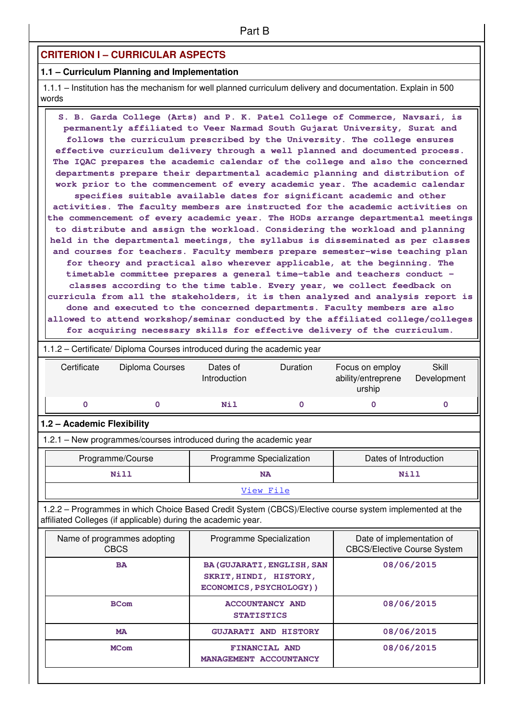### **CRITERION I – CURRICULAR ASPECTS**

### **1.1 – Curriculum Planning and Implementation**

 1.1.1 – Institution has the mechanism for well planned curriculum delivery and documentation. Explain in 500 words

 **S. B. Garda College (Arts) and P. K. Patel College of Commerce, Navsari, is permanently affiliated to Veer Narmad South Gujarat University, Surat and follows the curriculum prescribed by the University. The college ensures effective curriculum delivery through a well planned and documented process. The IQAC prepares the academic calendar of the college and also the concerned departments prepare their departmental academic planning and distribution of work prior to the commencement of every academic year. The academic calendar specifies suitable available dates for significant academic and other activities. The faculty members are instructed for the academic activities on the commencement of every academic year. The HODs arrange departmental meetings to distribute and assign the workload. Considering the workload and planning held in the departmental meetings, the syllabus is disseminated as per classes and courses for teachers. Faculty members prepare semester-wise teaching plan for theory and practical also wherever applicable, at the beginning. The timetable committee prepares a general time-table and teachers conduct – classes according to the time table. Every year, we collect feedback on curricula from all the stakeholders, it is then analyzed and analysis report is done and executed to the concerned departments. Faculty members are also allowed to attend workshop/seminar conducted by the affiliated college/colleges for acquiring necessary skills for effective delivery of the curriculum.**

 1.1.2 – Certificate/ Diploma Courses introduced during the academic year Certificate Diploma Courses Dates of Introduction Duration Focus on employ ability/entreprene urship **Skill** Development  **0 0 Nil 0 0 0 1.2 – Academic Flexibility** 1.2.1 – New programmes/courses introduced during the academic year Programme/Course **Programme Specialization** | Dates of Introduction  **Nill NA Nill** [View File](https://assessmentonline.naac.gov.in/public/Postacc/Program_introduced/8989_Program_introduced_1617084053.xlsx) 1.2.2 – Programmes in which Choice Based Credit System (CBCS)/Elective course system implemented at the affiliated Colleges (if applicable) during the academic year. Name of programmes adopting CBCS Programme Specialization From Programme of implementation of CBCS/Elective Course System BA BA(GUJARATI, ENGLISH, SAN **SKRIT,HINDI, HISTORY, ECONOMICS,PSYCHOLOGY)) 08/06/2015 BCom ACCOUNTANCY AND STATISTICS 08/06/2015 MA GUJARATI AND HISTORY** 08/06/2015 **MCom** FINANCIAL AND **MANAGEMENT ACCOUNTANCY 08/06/2015**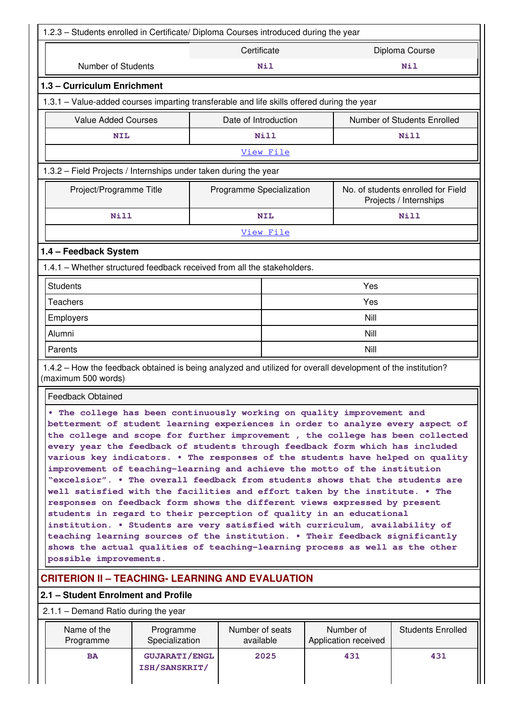| 1.2.3 - Students enrolled in Certificate/ Diploma Courses introduced during the year                                                |                                                                                                                                                                                                                                                                                                                                                                                                                                                                                                                                                                                                                                                                                                                                                                                                                                                                                                                                                                                                                                                             |                      |      |                             |  |  |  |  |  |  |
|-------------------------------------------------------------------------------------------------------------------------------------|-------------------------------------------------------------------------------------------------------------------------------------------------------------------------------------------------------------------------------------------------------------------------------------------------------------------------------------------------------------------------------------------------------------------------------------------------------------------------------------------------------------------------------------------------------------------------------------------------------------------------------------------------------------------------------------------------------------------------------------------------------------------------------------------------------------------------------------------------------------------------------------------------------------------------------------------------------------------------------------------------------------------------------------------------------------|----------------------|------|-----------------------------|--|--|--|--|--|--|
| Certificate<br>Diploma Course                                                                                                       |                                                                                                                                                                                                                                                                                                                                                                                                                                                                                                                                                                                                                                                                                                                                                                                                                                                                                                                                                                                                                                                             |                      |      |                             |  |  |  |  |  |  |
| Number of Students                                                                                                                  | Nil<br><b>Nil</b>                                                                                                                                                                                                                                                                                                                                                                                                                                                                                                                                                                                                                                                                                                                                                                                                                                                                                                                                                                                                                                           |                      |      |                             |  |  |  |  |  |  |
| 1.3 - Curriculum Enrichment                                                                                                         |                                                                                                                                                                                                                                                                                                                                                                                                                                                                                                                                                                                                                                                                                                                                                                                                                                                                                                                                                                                                                                                             |                      |      |                             |  |  |  |  |  |  |
| 1.3.1 - Value-added courses imparting transferable and life skills offered during the year                                          |                                                                                                                                                                                                                                                                                                                                                                                                                                                                                                                                                                                                                                                                                                                                                                                                                                                                                                                                                                                                                                                             |                      |      |                             |  |  |  |  |  |  |
| <b>Value Added Courses</b>                                                                                                          |                                                                                                                                                                                                                                                                                                                                                                                                                                                                                                                                                                                                                                                                                                                                                                                                                                                                                                                                                                                                                                                             | Date of Introduction |      | Number of Students Enrolled |  |  |  |  |  |  |
| <b>NIL</b>                                                                                                                          |                                                                                                                                                                                                                                                                                                                                                                                                                                                                                                                                                                                                                                                                                                                                                                                                                                                                                                                                                                                                                                                             | Nill                 |      | Nill                        |  |  |  |  |  |  |
| View File                                                                                                                           |                                                                                                                                                                                                                                                                                                                                                                                                                                                                                                                                                                                                                                                                                                                                                                                                                                                                                                                                                                                                                                                             |                      |      |                             |  |  |  |  |  |  |
| 1.3.2 - Field Projects / Internships under taken during the year                                                                    |                                                                                                                                                                                                                                                                                                                                                                                                                                                                                                                                                                                                                                                                                                                                                                                                                                                                                                                                                                                                                                                             |                      |      |                             |  |  |  |  |  |  |
| Project/Programme Title<br>Programme Specialization<br>No. of students enrolled for Field<br>Projects / Internships                 |                                                                                                                                                                                                                                                                                                                                                                                                                                                                                                                                                                                                                                                                                                                                                                                                                                                                                                                                                                                                                                                             |                      |      |                             |  |  |  |  |  |  |
| Nill                                                                                                                                |                                                                                                                                                                                                                                                                                                                                                                                                                                                                                                                                                                                                                                                                                                                                                                                                                                                                                                                                                                                                                                                             | <b>NIL</b>           |      | Nill                        |  |  |  |  |  |  |
|                                                                                                                                     |                                                                                                                                                                                                                                                                                                                                                                                                                                                                                                                                                                                                                                                                                                                                                                                                                                                                                                                                                                                                                                                             | View File            |      |                             |  |  |  |  |  |  |
| 1.4 - Feedback System                                                                                                               |                                                                                                                                                                                                                                                                                                                                                                                                                                                                                                                                                                                                                                                                                                                                                                                                                                                                                                                                                                                                                                                             |                      |      |                             |  |  |  |  |  |  |
| 1.4.1 - Whether structured feedback received from all the stakeholders.                                                             |                                                                                                                                                                                                                                                                                                                                                                                                                                                                                                                                                                                                                                                                                                                                                                                                                                                                                                                                                                                                                                                             |                      |      |                             |  |  |  |  |  |  |
| <b>Students</b>                                                                                                                     |                                                                                                                                                                                                                                                                                                                                                                                                                                                                                                                                                                                                                                                                                                                                                                                                                                                                                                                                                                                                                                                             |                      | Yes  |                             |  |  |  |  |  |  |
| <b>Teachers</b>                                                                                                                     |                                                                                                                                                                                                                                                                                                                                                                                                                                                                                                                                                                                                                                                                                                                                                                                                                                                                                                                                                                                                                                                             |                      | Yes  |                             |  |  |  |  |  |  |
| Employers                                                                                                                           |                                                                                                                                                                                                                                                                                                                                                                                                                                                                                                                                                                                                                                                                                                                                                                                                                                                                                                                                                                                                                                                             |                      | Nill |                             |  |  |  |  |  |  |
| Alumni                                                                                                                              |                                                                                                                                                                                                                                                                                                                                                                                                                                                                                                                                                                                                                                                                                                                                                                                                                                                                                                                                                                                                                                                             | Nill                 |      |                             |  |  |  |  |  |  |
| Parents                                                                                                                             |                                                                                                                                                                                                                                                                                                                                                                                                                                                                                                                                                                                                                                                                                                                                                                                                                                                                                                                                                                                                                                                             |                      | Nill |                             |  |  |  |  |  |  |
| 1.4.2 – How the feedback obtained is being analyzed and utilized for overall development of the institution?<br>(maximum 500 words) |                                                                                                                                                                                                                                                                                                                                                                                                                                                                                                                                                                                                                                                                                                                                                                                                                                                                                                                                                                                                                                                             |                      |      |                             |  |  |  |  |  |  |
| <b>Feedback Obtained</b>                                                                                                            |                                                                                                                                                                                                                                                                                                                                                                                                                                                                                                                                                                                                                                                                                                                                                                                                                                                                                                                                                                                                                                                             |                      |      |                             |  |  |  |  |  |  |
| possible improvements.                                                                                                              | . The college has been continuously working on quality improvement and<br>betterment of student learning experiences in order to analyze every aspect of<br>the college and scope for further improvement, the college has been collected<br>every year the feedback of students through feedback form which has included<br>various key indicators. . The responses of the students have helped on quality<br>improvement of teaching-learning and achieve the motto of the institution<br>"excelsior". . The overall feedback from students shows that the students are<br>well satisfied with the facilities and effort taken by the institute. . The<br>responses on feedback form shows the different views expressed by present<br>students in regard to their perception of quality in an educational<br>institution. . Students are very satisfied with curriculum, availability of<br>teaching learning sources of the institution. . Their feedback significantly<br>shows the actual qualities of teaching-learning process as well as the other |                      |      |                             |  |  |  |  |  |  |
| <b>CRITERION II - TEACHING- LEARNING AND EVALUATION</b>                                                                             |                                                                                                                                                                                                                                                                                                                                                                                                                                                                                                                                                                                                                                                                                                                                                                                                                                                                                                                                                                                                                                                             |                      |      |                             |  |  |  |  |  |  |
|                                                                                                                                     | 2.1 - Student Enrolment and Profile                                                                                                                                                                                                                                                                                                                                                                                                                                                                                                                                                                                                                                                                                                                                                                                                                                                                                                                                                                                                                         |                      |      |                             |  |  |  |  |  |  |
| $2.1.1 -$ Demand Ratio during the year                                                                                              |                                                                                                                                                                                                                                                                                                                                                                                                                                                                                                                                                                                                                                                                                                                                                                                                                                                                                                                                                                                                                                                             |                      |      |                             |  |  |  |  |  |  |
| Name of the<br>Programme                                                                                                            | Number of seats<br>Number of<br><b>Students Enrolled</b><br>Programme<br>available                                                                                                                                                                                                                                                                                                                                                                                                                                                                                                                                                                                                                                                                                                                                                                                                                                                                                                                                                                          |                      |      |                             |  |  |  |  |  |  |
| Specialization<br>Application received<br>2025<br>431<br>431<br><b>BA</b><br><b>GUJARATI/ENGL</b><br>ISH/SANSKRIT/                  |                                                                                                                                                                                                                                                                                                                                                                                                                                                                                                                                                                                                                                                                                                                                                                                                                                                                                                                                                                                                                                                             |                      |      |                             |  |  |  |  |  |  |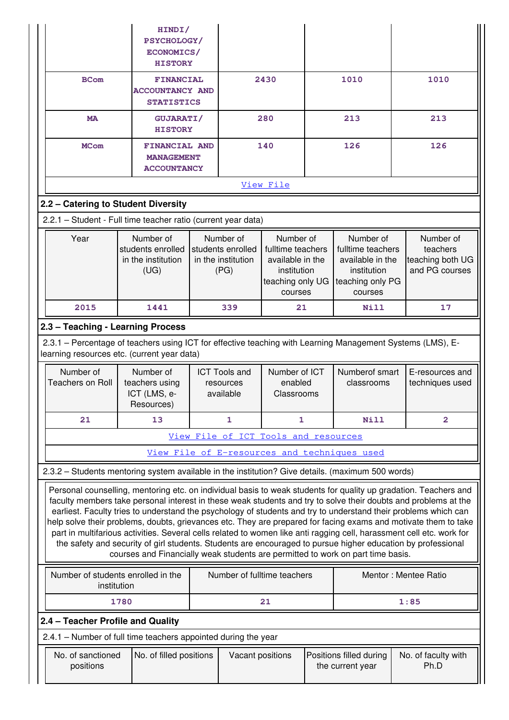|                                                                                                                                                                                                                                                                                                                                                                                                                                                                                                                                                                                                                                                                                                                                                                                                       | HINDI/<br>PSYCHOLOGY/<br>ECONOMICS/<br><b>HISTORY</b>           |      |                                                                                          |                                                                                                  |                                                                                                  |                                              |      |                                                             |  |
|-------------------------------------------------------------------------------------------------------------------------------------------------------------------------------------------------------------------------------------------------------------------------------------------------------------------------------------------------------------------------------------------------------------------------------------------------------------------------------------------------------------------------------------------------------------------------------------------------------------------------------------------------------------------------------------------------------------------------------------------------------------------------------------------------------|-----------------------------------------------------------------|------|------------------------------------------------------------------------------------------|--------------------------------------------------------------------------------------------------|--------------------------------------------------------------------------------------------------|----------------------------------------------|------|-------------------------------------------------------------|--|
| <b>BCom</b>                                                                                                                                                                                                                                                                                                                                                                                                                                                                                                                                                                                                                                                                                                                                                                                           | <b>FINANCIAL</b><br><b>ACCOUNTANCY AND</b><br><b>STATISTICS</b> | 2430 |                                                                                          | 1010                                                                                             |                                                                                                  |                                              | 1010 |                                                             |  |
| <b>MA</b>                                                                                                                                                                                                                                                                                                                                                                                                                                                                                                                                                                                                                                                                                                                                                                                             | <b>GUJARATI/</b><br><b>HISTORY</b>                              |      |                                                                                          | 280                                                                                              |                                                                                                  | 213                                          |      | 213                                                         |  |
| <b>MCom</b>                                                                                                                                                                                                                                                                                                                                                                                                                                                                                                                                                                                                                                                                                                                                                                                           | <b>FINANCIAL AND</b><br><b>MANAGEMENT</b><br><b>ACCOUNTANCY</b> |      |                                                                                          | 140                                                                                              |                                                                                                  | 126                                          |      | 126                                                         |  |
|                                                                                                                                                                                                                                                                                                                                                                                                                                                                                                                                                                                                                                                                                                                                                                                                       |                                                                 |      |                                                                                          | View File                                                                                        |                                                                                                  |                                              |      |                                                             |  |
| 2.2 - Catering to Student Diversity                                                                                                                                                                                                                                                                                                                                                                                                                                                                                                                                                                                                                                                                                                                                                                   |                                                                 |      |                                                                                          |                                                                                                  |                                                                                                  |                                              |      |                                                             |  |
| 2.2.1 - Student - Full time teacher ratio (current year data)                                                                                                                                                                                                                                                                                                                                                                                                                                                                                                                                                                                                                                                                                                                                         |                                                                 |      |                                                                                          |                                                                                                  |                                                                                                  |                                              |      |                                                             |  |
| Number of<br>Year<br>students enrolled<br>in the institution<br>(UG)                                                                                                                                                                                                                                                                                                                                                                                                                                                                                                                                                                                                                                                                                                                                  |                                                                 |      | Number of<br>students enrolled<br>in the institution<br>(PG)                             | Number of<br>fulltime teachers<br>available in the<br>institution<br>teaching only UG<br>courses | Number of<br>fulltime teachers<br>available in the<br>institution<br>teaching only PG<br>courses |                                              |      | Number of<br>teachers<br>teaching both UG<br>and PG courses |  |
| 2015                                                                                                                                                                                                                                                                                                                                                                                                                                                                                                                                                                                                                                                                                                                                                                                                  | 1441                                                            | 339  |                                                                                          |                                                                                                  | 21                                                                                               | Nill                                         |      | 17                                                          |  |
| 2.3 - Teaching - Learning Process                                                                                                                                                                                                                                                                                                                                                                                                                                                                                                                                                                                                                                                                                                                                                                     |                                                                 |      |                                                                                          |                                                                                                  |                                                                                                  |                                              |      |                                                             |  |
| 2.3.1 – Percentage of teachers using ICT for effective teaching with Learning Management Systems (LMS), E-<br>learning resources etc. (current year data)                                                                                                                                                                                                                                                                                                                                                                                                                                                                                                                                                                                                                                             |                                                                 |      |                                                                                          |                                                                                                  |                                                                                                  |                                              |      |                                                             |  |
| Number of<br><b>Teachers on Roll</b>                                                                                                                                                                                                                                                                                                                                                                                                                                                                                                                                                                                                                                                                                                                                                                  | Number of<br>teachers using<br>ICT (LMS, e-<br>Resources)       |      | <b>ICT Tools and</b><br>Number of ICT<br>enabled<br>resources<br>available<br>Classrooms |                                                                                                  |                                                                                                  | Numberof smart<br>classrooms                 |      | E-resources and<br>techniques used                          |  |
| 21                                                                                                                                                                                                                                                                                                                                                                                                                                                                                                                                                                                                                                                                                                                                                                                                    | 13                                                              |      | 1                                                                                        | 1                                                                                                |                                                                                                  | Nill                                         |      | $\overline{2}$                                              |  |
|                                                                                                                                                                                                                                                                                                                                                                                                                                                                                                                                                                                                                                                                                                                                                                                                       |                                                                 |      | View File of ICT Tools and resources                                                     |                                                                                                  |                                                                                                  |                                              |      |                                                             |  |
|                                                                                                                                                                                                                                                                                                                                                                                                                                                                                                                                                                                                                                                                                                                                                                                                       |                                                                 |      |                                                                                          |                                                                                                  |                                                                                                  | View File of E-resources and techniques used |      |                                                             |  |
| 2.3.2 - Students mentoring system available in the institution? Give details. (maximum 500 words)                                                                                                                                                                                                                                                                                                                                                                                                                                                                                                                                                                                                                                                                                                     |                                                                 |      |                                                                                          |                                                                                                  |                                                                                                  |                                              |      |                                                             |  |
| Personal counselling, mentoring etc. on individual basis to weak students for quality up gradation. Teachers and<br>faculty members take personal interest in these weak students and try to solve their doubts and problems at the<br>earliest. Faculty tries to understand the psychology of students and try to understand their problems which can<br>help solve their problems, doubts, grievances etc. They are prepared for facing exams and motivate them to take<br>part in multifarious activities. Several cells related to women like anti ragging cell, harassment cell etc. work for<br>the safety and security of girl students. Students are encouraged to pursue higher education by professional<br>courses and Financially weak students are permitted to work on part time basis. |                                                                 |      |                                                                                          |                                                                                                  |                                                                                                  |                                              |      |                                                             |  |
| Number of students enrolled in the<br>institution                                                                                                                                                                                                                                                                                                                                                                                                                                                                                                                                                                                                                                                                                                                                                     |                                                                 |      | Number of fulltime teachers                                                              |                                                                                                  |                                                                                                  |                                              |      | Mentor: Mentee Ratio                                        |  |
|                                                                                                                                                                                                                                                                                                                                                                                                                                                                                                                                                                                                                                                                                                                                                                                                       | 1780                                                            |      |                                                                                          | 21                                                                                               |                                                                                                  |                                              |      | 1:85                                                        |  |
| 2.4 - Teacher Profile and Quality                                                                                                                                                                                                                                                                                                                                                                                                                                                                                                                                                                                                                                                                                                                                                                     |                                                                 |      |                                                                                          |                                                                                                  |                                                                                                  |                                              |      |                                                             |  |
| 2.4.1 - Number of full time teachers appointed during the year                                                                                                                                                                                                                                                                                                                                                                                                                                                                                                                                                                                                                                                                                                                                        |                                                                 |      |                                                                                          |                                                                                                  |                                                                                                  |                                              |      |                                                             |  |
| No. of sanctioned<br>positions                                                                                                                                                                                                                                                                                                                                                                                                                                                                                                                                                                                                                                                                                                                                                                        | No. of filled positions                                         |      |                                                                                          | Vacant positions                                                                                 |                                                                                                  | Positions filled during<br>the current year  |      | No. of faculty with<br>Ph.D                                 |  |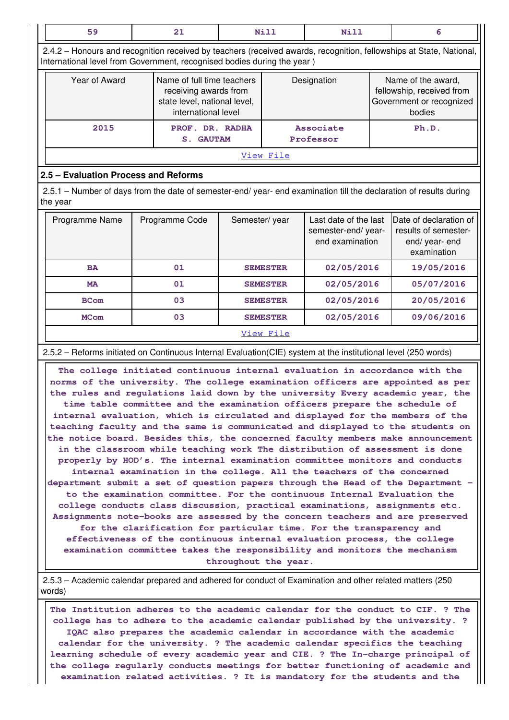| 59                                                                                                                                                                                             | 21 | Nill                                                                                                       | Nill          |                 | 6                                                              |            |                                                                                       |  |  |
|------------------------------------------------------------------------------------------------------------------------------------------------------------------------------------------------|----|------------------------------------------------------------------------------------------------------------|---------------|-----------------|----------------------------------------------------------------|------------|---------------------------------------------------------------------------------------|--|--|
| 2.4.2 - Honours and recognition received by teachers (received awards, recognition, fellowships at State, National,<br>International level from Government, recognised bodies during the year) |    |                                                                                                            |               |                 |                                                                |            |                                                                                       |  |  |
| Year of Award                                                                                                                                                                                  |    | Name of full time teachers<br>receiving awards from<br>state level, national level,<br>international level |               |                 | Designation                                                    |            | Name of the award,<br>fellowship, received from<br>Government or recognized<br>bodies |  |  |
| 2015                                                                                                                                                                                           |    | PROF. DR. RADHA<br><b>GAUTAM</b><br>$S_{\odot}$                                                            |               |                 | <b>Associate</b><br>Professor                                  |            | Ph.D.                                                                                 |  |  |
|                                                                                                                                                                                                |    |                                                                                                            |               | View File       |                                                                |            |                                                                                       |  |  |
| 2.5 - Evaluation Process and Reforms                                                                                                                                                           |    |                                                                                                            |               |                 |                                                                |            |                                                                                       |  |  |
| 2.5.1 – Number of days from the date of semester-end/ year- end examination till the declaration of results during<br>the year                                                                 |    |                                                                                                            |               |                 |                                                                |            |                                                                                       |  |  |
| Programme Name                                                                                                                                                                                 |    | Programme Code                                                                                             | Semester/year |                 | Last date of the last<br>semester-end/year-<br>end examination |            | Date of declaration of<br>results of semester-<br>end/year-end<br>examination         |  |  |
| <b>BA</b>                                                                                                                                                                                      |    | 01                                                                                                         |               | <b>SEMESTER</b> | 02/05/2016                                                     |            | 19/05/2016                                                                            |  |  |
| <b>MA</b>                                                                                                                                                                                      |    | 01                                                                                                         |               | <b>SEMESTER</b> | 02/05/2016                                                     |            | 05/07/2016                                                                            |  |  |
| <b>BCom</b>                                                                                                                                                                                    |    | 03                                                                                                         |               | <b>SEMESTER</b> | 02/05/2016                                                     |            | 20/05/2016                                                                            |  |  |
| <b>MCom</b>                                                                                                                                                                                    |    | 03                                                                                                         |               | <b>SEMESTER</b> |                                                                | 02/05/2016 | 09/06/2016                                                                            |  |  |
|                                                                                                                                                                                                |    |                                                                                                            |               | View File       |                                                                |            |                                                                                       |  |  |

2.5.2 – Reforms initiated on Continuous Internal Evaluation(CIE) system at the institutional level (250 words)

 **The college initiated continuous internal evaluation in accordance with the norms of the university. The college examination officers are appointed as per the rules and regulations laid down by the university Every academic year, the time table committee and the examination officers prepare the schedule of internal evaluation, which is circulated and displayed for the members of the teaching faculty and the same is communicated and displayed to the students on the notice board. Besides this, the concerned faculty members make announcement in the classroom while teaching work The distribution of assessment is done properly by HOD's. The internal examination committee monitors and conducts internal examination in the college. All the teachers of the concerned department submit a set of question papers through the Head of the Department – to the examination committee. For the continuous Internal Evaluation the college conducts class discussion, practical examinations, assignments etc. Assignments note-books are assessed by the concern teachers and are preserved for the clarification for particular time. For the transparency and effectiveness of the continuous internal evaluation process, the college examination committee takes the responsibility and monitors the mechanism throughout the year.**

 2.5.3 – Academic calendar prepared and adhered for conduct of Examination and other related matters (250 words)

 **The Institution adheres to the academic calendar for the conduct to CIF. ? The college has to adhere to the academic calendar published by the university. ? IQAC also prepares the academic calendar in accordance with the academic calendar for the university. ? The academic calendar specifics the teaching learning schedule of every academic year and CIE. ? The In-charge principal of the college regularly conducts meetings for better functioning of academic and examination related activities. ? It is mandatory for the students and the**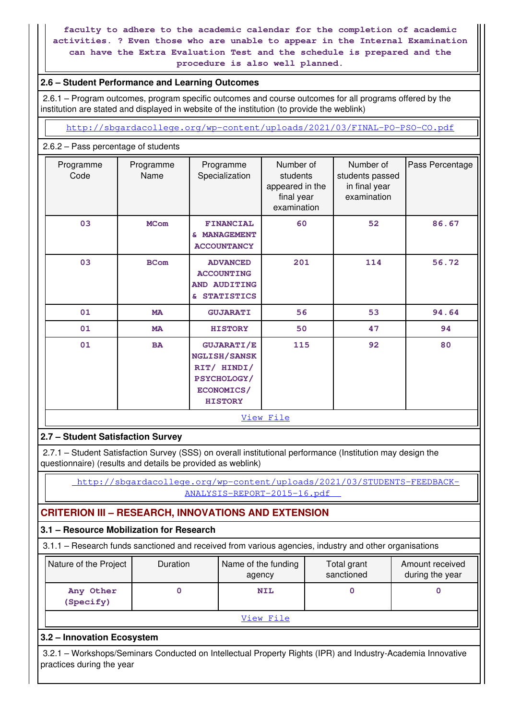**faculty to adhere to the academic calendar for the completion of academic activities. ? Even those who are unable to appear in the Internal Examination can have the Extra Evaluation Test and the schedule is prepared and the procedure is also well planned.**

### **2.6 – Student Performance and Learning Outcomes**

 2.6.1 – Program outcomes, program specific outcomes and course outcomes for all programs offered by the institution are stated and displayed in website of the institution (to provide the weblink)

<http://sbgardacollege.org/wp-content/uploads/2021/03/FINAL-PO-PSO-CO.pdf>

### 2.6.2 – Pass percentage of students

| Programme<br>Code | Programme<br>Name | Programme<br>Specialization                                                                            | Number of<br>students<br>appeared in the<br>final year<br>examination | Number of<br>students passed<br>in final year<br>examination | Pass Percentage |
|-------------------|-------------------|--------------------------------------------------------------------------------------------------------|-----------------------------------------------------------------------|--------------------------------------------------------------|-----------------|
| 03                | <b>MCom</b>       | <b>FINANCIAL</b><br><b>MANAGEMENT</b><br>S.<br><b>ACCOUNTANCY</b>                                      | 60                                                                    | 52                                                           | 86.67           |
| 03                | <b>BCom</b>       | <b>ADVANCED</b><br><b>ACCOUNTING</b><br>AND AUDITING<br><b>STATISTICS</b><br>&.                        | 201                                                                   | 114                                                          | 56.72           |
| 01                | <b>MA</b>         | 56<br><b>GUJARATI</b>                                                                                  |                                                                       | 53                                                           | 94.64           |
| 01                | <b>MA</b>         | <b>HISTORY</b>                                                                                         | 50                                                                    | 47                                                           | 94              |
| 01<br><b>BA</b>   |                   | <b>GUJARATI/E</b><br>NGLISH/SANSK<br>RIT/ HINDI/<br><b>PSYCHOLOGY/</b><br>ECONOMICS/<br><b>HISTORY</b> | 115                                                                   | 92                                                           | 80              |
|                   |                   |                                                                                                        | View File                                                             |                                                              |                 |

### **2.7 – Student Satisfaction Survey**

 2.7.1 – Student Satisfaction Survey (SSS) on overall institutional performance (Institution may design the questionnaire) (results and details be provided as weblink)

 [http://sbgardacollege.org/wp-content/uploads/2021/03/STUDENTS-FEEDBACK-](http://sbgardacollege.org/wp-content/uploads/2021/03/STUDENTS-FEEDBACK-ANALYSIS-REPORT-2015-16.pdf)[ANALYSIS-REPORT-2015-16.pdf](http://sbgardacollege.org/wp-content/uploads/2021/03/STUDENTS-FEEDBACK-ANALYSIS-REPORT-2015-16.pdf) 

## **CRITERION III – RESEARCH, INNOVATIONS AND EXTENSION**

### **3.1 – Resource Mobilization for Research**

3.1.1 – Research funds sanctioned and received from various agencies, industry and other organisations

| Nature of the Project  | <b>Duration</b> | Name of the funding<br>agency | Total grant<br>sanctioned | Amount received<br>during the year |  |  |  |  |  |
|------------------------|-----------------|-------------------------------|---------------------------|------------------------------------|--|--|--|--|--|
| Any Other<br>(Specify) |                 | <b>NIL</b>                    |                           |                                    |  |  |  |  |  |
| ステミ コレコー アウミ コーニー      |                 |                               |                           |                                    |  |  |  |  |  |

[View File](https://assessmentonline.naac.gov.in/public/Postacc/Research_Fund/8989_Research_Fund_1617086871.xlsx)

### **3.2 – Innovation Ecosystem**

 3.2.1 – Workshops/Seminars Conducted on Intellectual Property Rights (IPR) and Industry-Academia Innovative practices during the year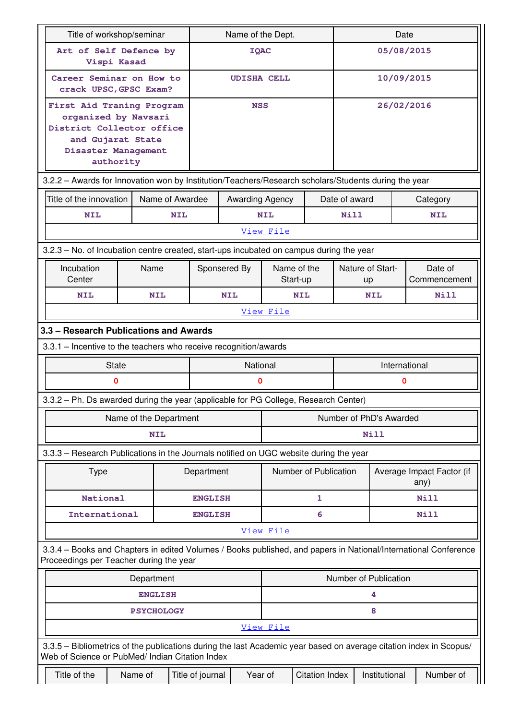| Title of workshop/seminar                                                                                                                                             |                        |                 | Name of the Dept.  |                 |            | Date                    |               |                               |            |                                   |
|-----------------------------------------------------------------------------------------------------------------------------------------------------------------------|------------------------|-----------------|--------------------|-----------------|------------|-------------------------|---------------|-------------------------------|------------|-----------------------------------|
| Art of Self Defence by<br>Vispi Kasad                                                                                                                                 |                        |                 | <b>IQAC</b>        |                 |            | 05/08/2015              |               |                               |            |                                   |
| Career Seminar on How to<br>crack UPSC, GPSC Exam?                                                                                                                    |                        |                 | <b>UDISHA CELL</b> |                 |            |                         | 10/09/2015    |                               |            |                                   |
| First Aid Traning Program<br>organized by Navsari<br>District Collector office<br>and Gujarat State<br>Disaster Management<br>authority                               |                        |                 |                    | <b>NSS</b>      |            |                         |               |                               | 26/02/2016 |                                   |
| 3.2.2 - Awards for Innovation won by Institution/Teachers/Research scholars/Students during the year                                                                  |                        |                 |                    |                 |            |                         |               |                               |            |                                   |
| Title of the innovation                                                                                                                                               |                        | Name of Awardee |                    | Awarding Agency |            |                         | Date of award |                               |            | Category                          |
| <b>NIL</b>                                                                                                                                                            |                        | <b>NIL</b>      |                    |                 | <b>NIL</b> |                         | Nill          |                               |            | <b>NIL</b>                        |
|                                                                                                                                                                       |                        |                 |                    |                 | View File  |                         |               |                               |            |                                   |
| 3.2.3 - No. of Incubation centre created, start-ups incubated on campus during the year                                                                               |                        |                 |                    |                 |            |                         |               |                               |            |                                   |
| Incubation<br>Center                                                                                                                                                  | Name                   |                 | Sponsered By       |                 |            | Name of the<br>Start-up |               | <b>Nature of Start-</b><br>up |            | Date of<br>Commencement           |
| <b>NIL</b>                                                                                                                                                            | <b>NIL</b>             |                 | <b>NIL</b>         |                 |            | <b>NIL</b>              |               | <b>NIL</b>                    |            | <b>Nill</b>                       |
|                                                                                                                                                                       |                        |                 |                    |                 | View File  |                         |               |                               |            |                                   |
| 3.3 - Research Publications and Awards                                                                                                                                |                        |                 |                    |                 |            |                         |               |                               |            |                                   |
| 3.3.1 - Incentive to the teachers who receive recognition/awards                                                                                                      |                        |                 |                    |                 |            |                         |               |                               |            |                                   |
| <b>State</b>                                                                                                                                                          |                        |                 | National           |                 |            | International           |               |                               |            |                                   |
| 0                                                                                                                                                                     |                        |                 | 0                  |                 |            |                         |               | 0                             |            |                                   |
| 3.3.2 – Ph. Ds awarded during the year (applicable for PG College, Research Center)                                                                                   |                        |                 |                    |                 |            |                         |               |                               |            |                                   |
|                                                                                                                                                                       | Name of the Department |                 |                    |                 |            |                         |               | Number of PhD's Awarded       |            |                                   |
|                                                                                                                                                                       | <b>NIL</b>             |                 |                    | Nill            |            |                         |               |                               |            |                                   |
| 3.3.3 - Research Publications in the Journals notified on UGC website during the year                                                                                 |                        |                 |                    |                 |            |                         |               |                               |            |                                   |
| <b>Type</b>                                                                                                                                                           |                        |                 | Department         |                 |            | Number of Publication   |               |                               |            | Average Impact Factor (if<br>any) |
| National                                                                                                                                                              |                        |                 | <b>ENGLISH</b>     |                 |            | 1                       |               |                               |            | Nill                              |
| International                                                                                                                                                         |                        |                 | <b>ENGLISH</b>     |                 |            | 6                       |               | Nill                          |            |                                   |
|                                                                                                                                                                       |                        |                 |                    |                 | View File  |                         |               |                               |            |                                   |
| 3.3.4 - Books and Chapters in edited Volumes / Books published, and papers in National/International Conference<br>Proceedings per Teacher during the year            |                        |                 |                    |                 |            |                         |               |                               |            |                                   |
|                                                                                                                                                                       | Department             |                 |                    |                 |            |                         |               | Number of Publication         |            |                                   |
| <b>ENGLISH</b>                                                                                                                                                        |                        |                 |                    |                 |            |                         |               | 4                             |            |                                   |
| <b>PSYCHOLOGY</b>                                                                                                                                                     |                        |                 |                    |                 |            |                         |               | 8                             |            |                                   |
|                                                                                                                                                                       |                        |                 |                    |                 | View File  |                         |               |                               |            |                                   |
| 3.3.5 – Bibliometrics of the publications during the last Academic year based on average citation index in Scopus/<br>Web of Science or PubMed/ Indian Citation Index |                        |                 |                    |                 |            |                         |               |                               |            |                                   |
| Title of the                                                                                                                                                          | Name of                |                 | Title of journal   | Year of         |            | <b>Citation Index</b>   |               | Institutional                 |            | Number of                         |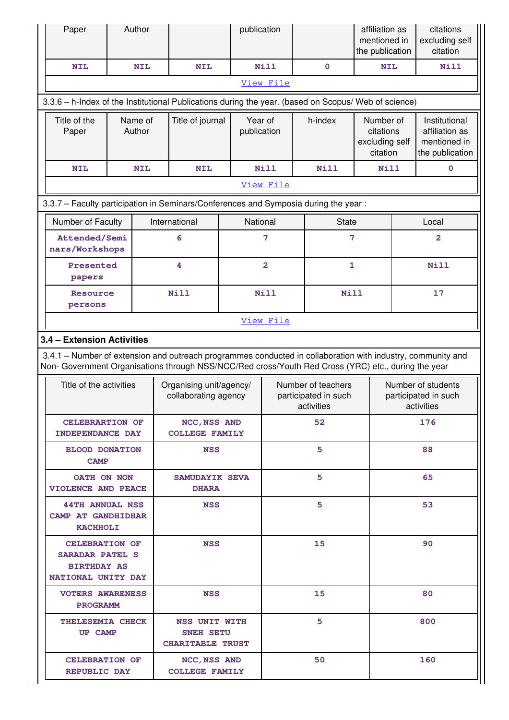| Paper                                                                                                                                                                                                              | Author                   |            |                                                              | publication |                         |    |                                                          | affiliation as<br>mentioned in<br>the publication    |     | citations<br>excluding self<br>citation                            |
|--------------------------------------------------------------------------------------------------------------------------------------------------------------------------------------------------------------------|--------------------------|------------|--------------------------------------------------------------|-------------|-------------------------|----|----------------------------------------------------------|------------------------------------------------------|-----|--------------------------------------------------------------------|
| <b>NIL</b>                                                                                                                                                                                                         | <b>NIL</b><br><b>NIL</b> |            |                                                              |             | <b>Nill</b>             |    | $\mathbf 0$                                              | <b>NIL</b>                                           |     | Nill                                                               |
|                                                                                                                                                                                                                    |                          |            |                                                              |             | View File               |    |                                                          |                                                      |     |                                                                    |
| 3.3.6 - h-Index of the Institutional Publications during the year. (based on Scopus/ Web of science)                                                                                                               |                          |            |                                                              |             |                         |    |                                                          |                                                      |     |                                                                    |
| Title of the<br>Paper                                                                                                                                                                                              | Name of<br>Author        |            | Title of journal                                             |             | Year of<br>publication  |    | h-index                                                  | Number of<br>citations<br>excluding self<br>citation |     | Institutional<br>affiliation as<br>mentioned in<br>the publication |
| <b>NIL</b>                                                                                                                                                                                                         |                          | <b>NIL</b> | <b>NIL</b>                                                   |             | <b>Nill</b>             |    | <b>Nill</b>                                              | Nill                                                 |     | $\mathbf 0$                                                        |
|                                                                                                                                                                                                                    |                          |            |                                                              |             | View File               |    |                                                          |                                                      |     |                                                                    |
| 3.3.7 - Faculty participation in Seminars/Conferences and Symposia during the year:                                                                                                                                |                          |            |                                                              |             |                         |    |                                                          |                                                      |     |                                                                    |
| Number of Faculty                                                                                                                                                                                                  |                          |            | International                                                |             | National                |    | <b>State</b>                                             |                                                      |     | Local                                                              |
| Attended/Semi<br>nars/Workshops                                                                                                                                                                                    |                          |            | 6                                                            |             | $\overline{7}$          |    | $\overline{7}$                                           |                                                      |     | $\overline{\mathbf{2}}$                                            |
| Presented<br>papers                                                                                                                                                                                                |                          |            | 4                                                            |             | $\overline{\mathbf{2}}$ |    | $\mathbf{1}$                                             |                                                      |     | <b>Nill</b>                                                        |
| <b>Resource</b><br>persons                                                                                                                                                                                         |                          |            | <b>Nill</b>                                                  |             | Nill                    |    | Nill                                                     |                                                      | 17  |                                                                    |
|                                                                                                                                                                                                                    |                          |            |                                                              |             | View File               |    |                                                          |                                                      |     |                                                                    |
| 3.4 - Extension Activities                                                                                                                                                                                         |                          |            |                                                              |             |                         |    |                                                          |                                                      |     |                                                                    |
| 3.4.1 – Number of extension and outreach programmes conducted in collaboration with industry, community and<br>Non- Government Organisations through NSS/NCC/Red cross/Youth Red Cross (YRC) etc., during the year |                          |            |                                                              |             |                         |    |                                                          |                                                      |     |                                                                    |
| Title of the activities                                                                                                                                                                                            |                          |            | Organising unit/agency/<br>collaborating agency              |             |                         |    | Number of teachers<br>participated in such<br>activities |                                                      |     | Number of students<br>participated in such<br>activities           |
| CELEBRARTION OF<br><b>INDEPENDANCE DAY</b>                                                                                                                                                                         |                          |            | NCC, NSS AND<br><b>COLLEGE FAMILY</b>                        |             | 52                      |    |                                                          | 176                                                  |     |                                                                    |
| <b>BLOOD DONATION</b><br><b>CAMP</b>                                                                                                                                                                               |                          |            | <b>NSS</b>                                                   |             |                         | 5. |                                                          |                                                      |     | 88                                                                 |
| OATH ON NON<br><b>VIOLENCE AND PEACE</b>                                                                                                                                                                           |                          |            | SAMUDAYIK SEVA<br><b>DHARA</b>                               |             |                         |    | 5.                                                       |                                                      | 65  |                                                                    |
| <b>44TH ANNUAL NSS</b><br>CAMP AT GANDHIDHAR<br><b>KACHHOLI</b>                                                                                                                                                    |                          |            | <b>NSS</b>                                                   |             |                         |    | 5.                                                       |                                                      | 53  |                                                                    |
| <b>CELEBRATION OF</b><br><b>SARADAR PATEL S</b><br><b>BIRTHDAY AS</b><br>NATIONAL UNITY DAY                                                                                                                        |                          | <b>NSS</b> |                                                              |             |                         | 15 |                                                          |                                                      | 90  |                                                                    |
| <b>VOTERS AWARENESS</b><br><b>PROGRAMM</b>                                                                                                                                                                         |                          |            | <b>NSS</b>                                                   |             |                         |    | 15                                                       |                                                      |     | 80                                                                 |
| THELESEMIA CHECK<br>UP CAMP                                                                                                                                                                                        |                          |            | NSS UNIT WITH<br><b>SNEH SETU</b><br><b>CHARITABLE TRUST</b> |             |                         |    | 5.                                                       |                                                      |     | 800                                                                |
| <b>CELEBRATION OF</b><br><b>REPUBLIC DAY</b>                                                                                                                                                                       |                          |            | NCC, NSS AND<br><b>COLLEGE FAMILY</b>                        |             |                         | 50 |                                                          |                                                      | 160 |                                                                    |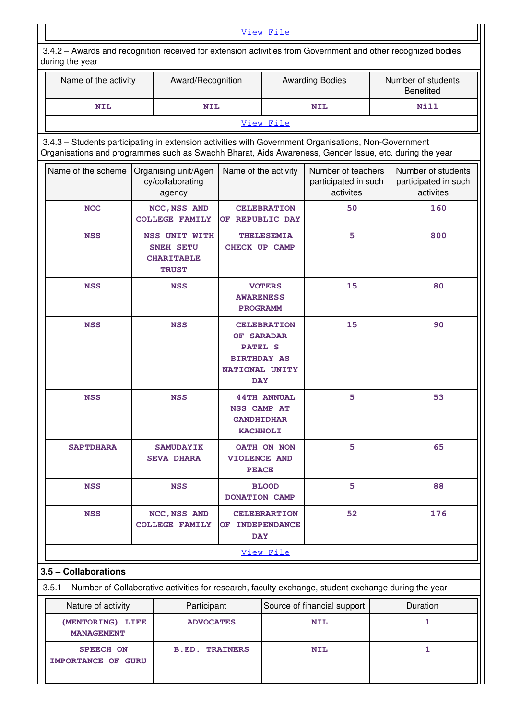| View File                                                                                                                                                                                                      |  |                                                                               |                                                                                                          |                     |                                                         |                                        |                                                         |  |
|----------------------------------------------------------------------------------------------------------------------------------------------------------------------------------------------------------------|--|-------------------------------------------------------------------------------|----------------------------------------------------------------------------------------------------------|---------------------|---------------------------------------------------------|----------------------------------------|---------------------------------------------------------|--|
| 3.4.2 - Awards and recognition received for extension activities from Government and other recognized bodies<br>during the year                                                                                |  |                                                                               |                                                                                                          |                     |                                                         |                                        |                                                         |  |
| Name of the activity                                                                                                                                                                                           |  | Award/Recognition                                                             |                                                                                                          |                     | <b>Awarding Bodies</b>                                  | Number of students<br><b>Benefited</b> |                                                         |  |
| <b>NIL</b>                                                                                                                                                                                                     |  | <b>NIL</b>                                                                    |                                                                                                          | <b>NIL</b>          |                                                         |                                        | Nill                                                    |  |
|                                                                                                                                                                                                                |  |                                                                               |                                                                                                          | View File           |                                                         |                                        |                                                         |  |
| 3.4.3 - Students participating in extension activities with Government Organisations, Non-Government<br>Organisations and programmes such as Swachh Bharat, Aids Awareness, Gender Issue, etc. during the year |  |                                                                               |                                                                                                          |                     |                                                         |                                        |                                                         |  |
| Name of the scheme                                                                                                                                                                                             |  | Organising unit/Agen<br>cy/collaborating<br>agency                            | Name of the activity                                                                                     |                     | Number of teachers<br>participated in such<br>activites |                                        | Number of students<br>participated in such<br>activites |  |
| <b>NCC</b>                                                                                                                                                                                                     |  | NCC, NSS AND<br><b>COLLEGE FAMILY</b>                                         | OF REPUBLIC DAY                                                                                          | <b>CELEBRATION</b>  | 50                                                      |                                        | 160                                                     |  |
| <b>NSS</b>                                                                                                                                                                                                     |  | <b>NSS UNIT WITH</b><br><b>SNEH SETU</b><br><b>CHARITABLE</b><br><b>TRUST</b> | <b>THELESEMIA</b><br><b>CHECK UP CAMP</b>                                                                |                     | 5                                                       |                                        | 800                                                     |  |
| <b>NSS</b>                                                                                                                                                                                                     |  | <b>NSS</b>                                                                    | <b>VOTERS</b><br><b>AWARENESS</b><br><b>PROGRAMM</b>                                                     |                     | 15                                                      |                                        | 80                                                      |  |
| <b>NSS</b>                                                                                                                                                                                                     |  | <b>NSS</b>                                                                    | <b>CELEBRATION</b><br>OF SARADAR<br><b>PATEL S</b><br><b>BIRTHDAY AS</b><br>NATIONAL UNITY<br><b>DAY</b> |                     | 15                                                      |                                        | 90                                                      |  |
| <b>NSS</b>                                                                                                                                                                                                     |  | <b>NSS</b>                                                                    | NSS CAMP AT<br><b>GANDHIDHAR</b><br><b>KACHHOLI</b>                                                      | <b>44TH ANNUAL</b>  | 5                                                       |                                        | 53                                                      |  |
| <b>SAPTDHARA</b>                                                                                                                                                                                               |  | <b>SAMUDAYIK</b><br><b>SEVA DHARA</b>                                         | <b>VIOLENCE AND</b><br><b>PEACE</b>                                                                      | OATH ON NON         | 5                                                       |                                        | 65                                                      |  |
| <b>NSS</b>                                                                                                                                                                                                     |  | <b>NSS</b>                                                                    | DONATION CAMP                                                                                            | <b>BLOOD</b>        | 5                                                       |                                        | 88                                                      |  |
| <b>NSS</b>                                                                                                                                                                                                     |  | NCC, NSS AND<br><b>COLLEGE FAMILY</b>                                         | OF INDEPENDANCE<br><b>DAY</b>                                                                            | <b>CELEBRARTION</b> | 52                                                      |                                        | 176                                                     |  |
|                                                                                                                                                                                                                |  |                                                                               |                                                                                                          | View File           |                                                         |                                        |                                                         |  |
| 3.5 - Collaborations                                                                                                                                                                                           |  |                                                                               |                                                                                                          |                     |                                                         |                                        |                                                         |  |
| 3.5.1 - Number of Collaborative activities for research, faculty exchange, student exchange during the year                                                                                                    |  |                                                                               |                                                                                                          |                     |                                                         |                                        |                                                         |  |
| Nature of activity                                                                                                                                                                                             |  | Participant                                                                   |                                                                                                          |                     | Source of financial support                             |                                        | Duration                                                |  |
| (MENTORING) LIFE<br><b>MANAGEMENT</b>                                                                                                                                                                          |  | <b>ADVOCATES</b>                                                              |                                                                                                          | <b>NIL</b>          |                                                         | 1                                      |                                                         |  |
| <b>SPEECH ON</b><br>IMPORTANCE OF GURU                                                                                                                                                                         |  | <b>B.ED. TRAINERS</b>                                                         |                                                                                                          |                     | <b>NIL</b>                                              |                                        | $\mathbf{1}$                                            |  |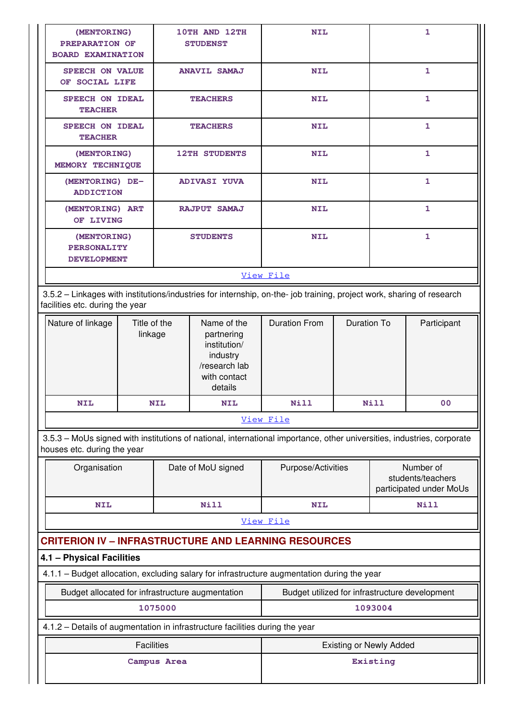| (MENTORING)<br>PREPARATION OF<br><b>BOARD EXAMINATION</b>                                                                                                |                         |            | 10TH AND 12TH<br><b>STUDENST</b>                                                                  | <b>NIL</b>                                     |                                |         | 1                                                         |
|----------------------------------------------------------------------------------------------------------------------------------------------------------|-------------------------|------------|---------------------------------------------------------------------------------------------------|------------------------------------------------|--------------------------------|---------|-----------------------------------------------------------|
| <b>SPEECH ON VALUE</b><br>OF SOCIAL LIFE                                                                                                                 |                         |            | <b>ANAVIL SAMAJ</b>                                                                               | <b>NIL</b>                                     |                                |         | $\mathbf{1}$                                              |
| <b>TEACHER</b>                                                                                                                                           | <b>SPEECH ON IDEAL</b>  |            | <b>TEACHERS</b>                                                                                   | <b>NIL</b>                                     |                                | 1       |                                                           |
| <b>SPEECH ON IDEAL</b><br><b>TEACHER</b>                                                                                                                 |                         |            | <b>TEACHERS</b>                                                                                   | <b>NIL</b>                                     |                                |         | $\mathbf{1}$                                              |
| (MENTORING)<br>MEMORY TECHNIQUE                                                                                                                          |                         |            | <b>12TH STUDENTS</b>                                                                              | <b>NIL</b>                                     |                                |         | $\mathbf{1}$                                              |
| (MENTORING) DE-<br><b>ADDICTION</b>                                                                                                                      |                         |            | <b>ADIVASI YUVA</b>                                                                               | <b>NIL</b>                                     |                                |         | $\mathbf{1}$                                              |
| (MENTORING) ART<br>OF LIVING                                                                                                                             |                         |            | RAJPUT SAMAJ                                                                                      | <b>NIL</b>                                     |                                |         | 1                                                         |
| (MENTORING)<br>PERSONALITY<br><b>DEVELOPMENT</b>                                                                                                         |                         |            | <b>STUDENTS</b>                                                                                   | <b>NIL</b>                                     |                                |         | $\mathbf{1}$                                              |
|                                                                                                                                                          |                         |            |                                                                                                   | View File                                      |                                |         |                                                           |
| 3.5.2 - Linkages with institutions/industries for internship, on-the- job training, project work, sharing of research<br>facilities etc. during the year |                         |            |                                                                                                   |                                                |                                |         |                                                           |
| Nature of linkage                                                                                                                                        | Title of the<br>linkage |            | Name of the<br>partnering<br>institution/<br>industry<br>/research lab<br>with contact<br>details | <b>Duration From</b>                           | <b>Duration To</b>             |         | Participant                                               |
| <b>NIL</b>                                                                                                                                               |                         | <b>NIL</b> | <b>NIL</b>                                                                                        | <b>Nill</b>                                    | <b>Nill</b>                    |         | 00                                                        |
|                                                                                                                                                          |                         |            |                                                                                                   | View File                                      |                                |         |                                                           |
| 3.5.3 - MoUs signed with institutions of national, international importance, other universities, industries, corporate<br>houses etc. during the year    |                         |            |                                                                                                   |                                                |                                |         |                                                           |
| Organisation                                                                                                                                             |                         |            | Date of MoU signed                                                                                | Purpose/Activities                             |                                |         | Number of<br>students/teachers<br>participated under MoUs |
| <b>NIL</b>                                                                                                                                               |                         |            | Nill                                                                                              | <b>NIL</b>                                     |                                |         | Nill                                                      |
|                                                                                                                                                          |                         |            |                                                                                                   | View File                                      |                                |         |                                                           |
| <b>CRITERION IV - INFRASTRUCTURE AND LEARNING RESOURCES</b>                                                                                              |                         |            |                                                                                                   |                                                |                                |         |                                                           |
| 4.1 - Physical Facilities                                                                                                                                |                         |            |                                                                                                   |                                                |                                |         |                                                           |
| 4.1.1 - Budget allocation, excluding salary for infrastructure augmentation during the year                                                              |                         |            |                                                                                                   |                                                |                                |         |                                                           |
| Budget allocated for infrastructure augmentation                                                                                                         |                         |            |                                                                                                   | Budget utilized for infrastructure development |                                |         |                                                           |
|                                                                                                                                                          |                         | 1075000    |                                                                                                   |                                                |                                | 1093004 |                                                           |
| 4.1.2 - Details of augmentation in infrastructure facilities during the year                                                                             |                         |            |                                                                                                   |                                                |                                |         |                                                           |
|                                                                                                                                                          | <b>Facilities</b>       |            |                                                                                                   |                                                | <b>Existing or Newly Added</b> |         |                                                           |
| Campus Area                                                                                                                                              |                         |            |                                                                                                   | Existing                                       |                                |         |                                                           |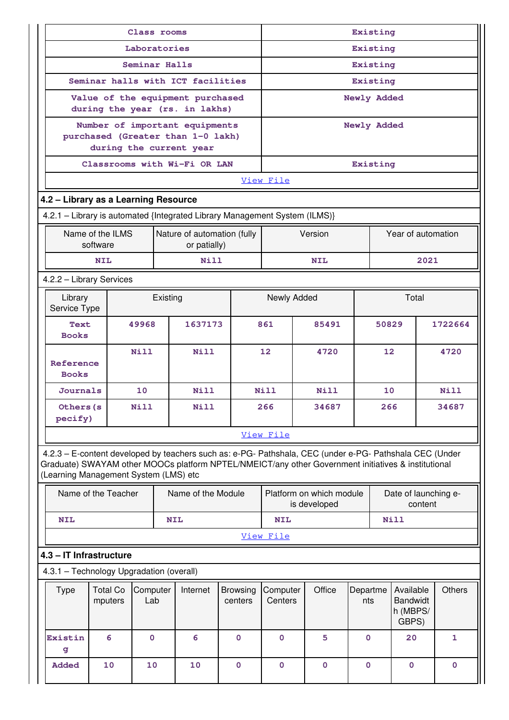|                                                                             | Class rooms                |               |            |                                                                                                                                                                                                                |                            | Existing            |             |                                          |                    |    |                                                   |         |               |
|-----------------------------------------------------------------------------|----------------------------|---------------|------------|----------------------------------------------------------------------------------------------------------------------------------------------------------------------------------------------------------------|----------------------------|---------------------|-------------|------------------------------------------|--------------------|----|---------------------------------------------------|---------|---------------|
|                                                                             |                            | Laboratories  |            |                                                                                                                                                                                                                |                            |                     |             |                                          | Existing           |    |                                                   |         |               |
|                                                                             |                            | Seminar Halls |            |                                                                                                                                                                                                                |                            |                     |             |                                          | Existing           |    |                                                   |         |               |
|                                                                             |                            |               |            | Seminar halls with ICT facilities                                                                                                                                                                              |                            |                     |             |                                          | Existing           |    |                                                   |         |               |
|                                                                             |                            |               |            | Value of the equipment purchased<br>during the year (rs. in lakhs)                                                                                                                                             |                            |                     | Newly Added |                                          |                    |    |                                                   |         |               |
|                                                                             |                            |               |            | Number of important equipments<br>purchased (Greater than 1-0 lakh)                                                                                                                                            |                            |                     |             |                                          | Newly Added        |    |                                                   |         |               |
| during the current year                                                     |                            |               |            |                                                                                                                                                                                                                |                            |                     |             |                                          |                    |    |                                                   |         |               |
|                                                                             |                            |               |            | Classrooms with Wi-Fi OR LAN                                                                                                                                                                                   |                            | Existing            |             |                                          |                    |    |                                                   |         |               |
|                                                                             |                            |               |            |                                                                                                                                                                                                                |                            | View File           |             |                                          |                    |    |                                                   |         |               |
| 4.2 - Library as a Learning Resource                                        |                            |               |            |                                                                                                                                                                                                                |                            |                     |             |                                          |                    |    |                                                   |         |               |
|                                                                             |                            |               |            | 4.2.1 - Library is automated {Integrated Library Management System (ILMS)}                                                                                                                                     |                            |                     |             |                                          |                    |    |                                                   |         |               |
| Name of the ILMS<br>Nature of automation (fully<br>software<br>or patially) |                            |               |            |                                                                                                                                                                                                                |                            | Version             |             |                                          | Year of automation |    |                                                   |         |               |
|                                                                             | <b>NIL</b>                 |               |            | <b>Nill</b>                                                                                                                                                                                                    |                            |                     |             | <b>NIL</b>                               |                    |    |                                                   | 2021    |               |
| 4.2.2 - Library Services                                                    |                            |               |            |                                                                                                                                                                                                                |                            |                     |             |                                          |                    |    |                                                   |         |               |
| Library<br>Service Type                                                     |                            |               | Existing   |                                                                                                                                                                                                                |                            | Newly Added         |             |                                          |                    |    | Total                                             |         |               |
| Text<br>49968<br><b>Books</b>                                               |                            |               |            | 1637173                                                                                                                                                                                                        |                            | 861<br>85491        |             |                                          | 50829              |    |                                                   | 1722664 |               |
| Reference<br><b>Books</b>                                                   |                            | Nill          |            | Nill                                                                                                                                                                                                           |                            | 12<br>4720          |             |                                          | $12 \overline{ }$  |    |                                                   | 4720    |               |
| <b>Journals</b>                                                             |                            | 10            |            | Nill                                                                                                                                                                                                           |                            | <b>Nill</b>         |             | Nill                                     |                    | 10 |                                                   |         | Nill          |
| Others (s<br>pecify)                                                        |                            | Nill          |            | Nill                                                                                                                                                                                                           |                            | 266<br>34687        |             |                                          | 266                |    |                                                   | 34687   |               |
|                                                                             |                            |               |            |                                                                                                                                                                                                                |                            | View File           |             |                                          |                    |    |                                                   |         |               |
| (Learning Management System (LMS) etc                                       |                            |               |            | 4.2.3 - E-content developed by teachers such as: e-PG- Pathshala, CEC (under e-PG- Pathshala CEC (Under<br>Graduate) SWAYAM other MOOCs platform NPTEL/NMEICT/any other Government initiatives & institutional |                            |                     |             |                                          |                    |    |                                                   |         |               |
|                                                                             | Name of the Teacher        |               |            | Name of the Module                                                                                                                                                                                             |                            |                     |             | Platform on which module<br>is developed |                    |    | Date of launching e-                              | content |               |
| <b>NIL</b>                                                                  |                            |               | <b>NIL</b> |                                                                                                                                                                                                                |                            | <b>NIL</b>          |             |                                          |                    |    | Nill                                              |         |               |
|                                                                             |                            |               |            |                                                                                                                                                                                                                |                            | View File           |             |                                          |                    |    |                                                   |         |               |
| 4.3 - IT Infrastructure                                                     |                            |               |            |                                                                                                                                                                                                                |                            |                     |             |                                          |                    |    |                                                   |         |               |
| 4.3.1 - Technology Upgradation (overall)                                    |                            |               |            |                                                                                                                                                                                                                |                            |                     |             |                                          |                    |    |                                                   |         |               |
| <b>Type</b>                                                                 | <b>Total Co</b><br>mputers | Lab           | Computer   | Internet                                                                                                                                                                                                       | <b>Browsing</b><br>centers | Computer<br>Centers |             | Office                                   | Departme<br>nts    |    | Available<br><b>Bandwidt</b><br>h (MBPS/<br>GBPS) |         | <b>Others</b> |
| Existin<br>g                                                                | 6                          | $\mathbf 0$   |            | 6                                                                                                                                                                                                              | $\mathbf 0$                | $\mathbf 0$         |             | 5                                        | $\mathbf{0}$       |    | 20                                                |         | 1             |
| Added                                                                       | 10                         | 10            |            | 10                                                                                                                                                                                                             | $\mathbf 0$                | $\mathbf 0$         |             | $\mathbf 0$                              | $\mathbf 0$        |    | $\mathbf 0$                                       |         | $\mathbf 0$   |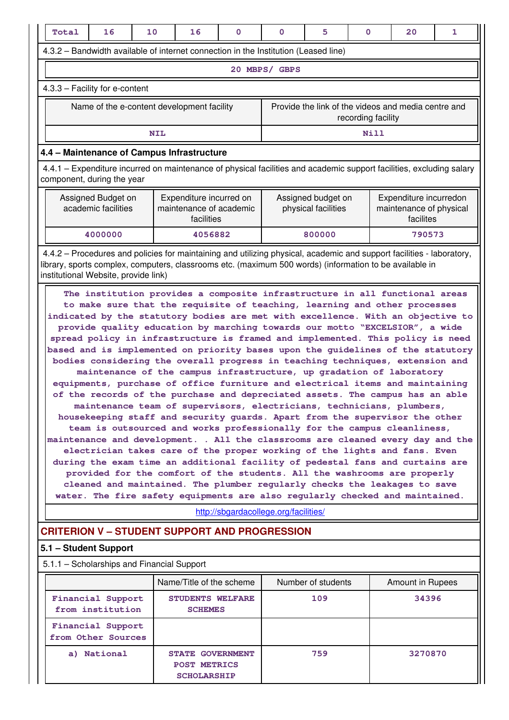| Total                                                                                                                                                                                                                                                                                                                                                                                                                                                                                                                                                                                                                                                                                                                                                                                                                                                                                                                                                                                                                                                                                                                                                                                                                                                                                                                                                                                                                                                                                                                                                   | 16                                             | 10 | 16                                                                                                                                                                                                                               | 0 | 0                                         | 5                  | 0                                                              | 20                                                  | 1 |
|---------------------------------------------------------------------------------------------------------------------------------------------------------------------------------------------------------------------------------------------------------------------------------------------------------------------------------------------------------------------------------------------------------------------------------------------------------------------------------------------------------------------------------------------------------------------------------------------------------------------------------------------------------------------------------------------------------------------------------------------------------------------------------------------------------------------------------------------------------------------------------------------------------------------------------------------------------------------------------------------------------------------------------------------------------------------------------------------------------------------------------------------------------------------------------------------------------------------------------------------------------------------------------------------------------------------------------------------------------------------------------------------------------------------------------------------------------------------------------------------------------------------------------------------------------|------------------------------------------------|----|----------------------------------------------------------------------------------------------------------------------------------------------------------------------------------------------------------------------------------|---|-------------------------------------------|--------------------|----------------------------------------------------------------|-----------------------------------------------------|---|
|                                                                                                                                                                                                                                                                                                                                                                                                                                                                                                                                                                                                                                                                                                                                                                                                                                                                                                                                                                                                                                                                                                                                                                                                                                                                                                                                                                                                                                                                                                                                                         |                                                |    | 4.3.2 – Bandwidth available of internet connection in the Institution (Leased line)                                                                                                                                              |   |                                           |                    |                                                                |                                                     |   |
|                                                                                                                                                                                                                                                                                                                                                                                                                                                                                                                                                                                                                                                                                                                                                                                                                                                                                                                                                                                                                                                                                                                                                                                                                                                                                                                                                                                                                                                                                                                                                         |                                                |    |                                                                                                                                                                                                                                  |   | 20 MBPS/ GBPS                             |                    |                                                                |                                                     |   |
| 4.3.3 - Facility for e-content                                                                                                                                                                                                                                                                                                                                                                                                                                                                                                                                                                                                                                                                                                                                                                                                                                                                                                                                                                                                                                                                                                                                                                                                                                                                                                                                                                                                                                                                                                                          |                                                |    |                                                                                                                                                                                                                                  |   |                                           |                    |                                                                |                                                     |   |
|                                                                                                                                                                                                                                                                                                                                                                                                                                                                                                                                                                                                                                                                                                                                                                                                                                                                                                                                                                                                                                                                                                                                                                                                                                                                                                                                                                                                                                                                                                                                                         |                                                |    | Name of the e-content development facility                                                                                                                                                                                       |   |                                           |                    | recording facility                                             | Provide the link of the videos and media centre and |   |
|                                                                                                                                                                                                                                                                                                                                                                                                                                                                                                                                                                                                                                                                                                                                                                                                                                                                                                                                                                                                                                                                                                                                                                                                                                                                                                                                                                                                                                                                                                                                                         |                                                |    | <b>NIL</b>                                                                                                                                                                                                                       |   |                                           |                    | <b>Nill</b>                                                    |                                                     |   |
|                                                                                                                                                                                                                                                                                                                                                                                                                                                                                                                                                                                                                                                                                                                                                                                                                                                                                                                                                                                                                                                                                                                                                                                                                                                                                                                                                                                                                                                                                                                                                         |                                                |    | 4.4 - Maintenance of Campus Infrastructure                                                                                                                                                                                       |   |                                           |                    |                                                                |                                                     |   |
| 4.4.1 – Expenditure incurred on maintenance of physical facilities and academic support facilities, excluding salary<br>component, during the year                                                                                                                                                                                                                                                                                                                                                                                                                                                                                                                                                                                                                                                                                                                                                                                                                                                                                                                                                                                                                                                                                                                                                                                                                                                                                                                                                                                                      |                                                |    |                                                                                                                                                                                                                                  |   |                                           |                    |                                                                |                                                     |   |
| Assigned Budget on<br>Expenditure incurred on<br>academic facilities<br>maintenance of academic<br>facilities                                                                                                                                                                                                                                                                                                                                                                                                                                                                                                                                                                                                                                                                                                                                                                                                                                                                                                                                                                                                                                                                                                                                                                                                                                                                                                                                                                                                                                           |                                                |    |                                                                                                                                                                                                                                  |   | Assigned budget on<br>physical facilities |                    | Expenditure incurredon<br>maintenance of physical<br>facilites |                                                     |   |
|                                                                                                                                                                                                                                                                                                                                                                                                                                                                                                                                                                                                                                                                                                                                                                                                                                                                                                                                                                                                                                                                                                                                                                                                                                                                                                                                                                                                                                                                                                                                                         | 4000000                                        |    | 4056882                                                                                                                                                                                                                          |   | 800000                                    |                    |                                                                | 790573                                              |   |
|                                                                                                                                                                                                                                                                                                                                                                                                                                                                                                                                                                                                                                                                                                                                                                                                                                                                                                                                                                                                                                                                                                                                                                                                                                                                                                                                                                                                                                                                                                                                                         | institutional Website, provide link)           |    | 4.4.2 – Procedures and policies for maintaining and utilizing physical, academic and support facilities - laboratory,<br>library, sports complex, computers, classrooms etc. (maximum 500 words) (information to be available in |   |                                           |                    |                                                                |                                                     |   |
| The institution provides a composite infrastructure in all functional areas<br>to make sure that the requisite of teaching, learning and other processes<br>indicated by the statutory bodies are met with excellence. With an objective to<br>provide quality education by marching towards our motto "EXCELSIOR", a wide<br>spread policy in infrastructure is framed and implemented. This policy is need<br>based and is implemented on priority bases upon the guidelines of the statutory<br>bodies considering the overall progress in teaching techniques, extension and<br>maintenance of the campus infrastructure, up gradation of laboratory<br>equipments, purchase of office furniture and electrical items and maintaining<br>of the records of the purchase and depreciated assets. The campus has an able<br>maintenance team of supervisors, electricians, technicians, plumbers,<br>housekeeping staff and security guards. Apart from the supervisor the other<br>team is outsourced and works professionally for the campus cleanliness,<br>maintenance and development. . All the classrooms are cleaned every day and the<br>electrician takes care of the proper working of the lights and fans. Even<br>during the exam time an additional facility of pedestal fans and curtains are<br>provided for the comfort of the students. All the washrooms are properly<br>cleaned and maintained. The plumber regularly checks the leakages to save<br>water. The fire safety equipments are also regularly checked and maintained. |                                                |    |                                                                                                                                                                                                                                  |   |                                           |                    |                                                                |                                                     |   |
|                                                                                                                                                                                                                                                                                                                                                                                                                                                                                                                                                                                                                                                                                                                                                                                                                                                                                                                                                                                                                                                                                                                                                                                                                                                                                                                                                                                                                                                                                                                                                         |                                                |    | <b>CRITERION V - STUDENT SUPPORT AND PROGRESSION</b>                                                                                                                                                                             |   |                                           |                    |                                                                |                                                     |   |
|                                                                                                                                                                                                                                                                                                                                                                                                                                                                                                                                                                                                                                                                                                                                                                                                                                                                                                                                                                                                                                                                                                                                                                                                                                                                                                                                                                                                                                                                                                                                                         | 5.1 - Student Support                          |    |                                                                                                                                                                                                                                  |   |                                           |                    |                                                                |                                                     |   |
|                                                                                                                                                                                                                                                                                                                                                                                                                                                                                                                                                                                                                                                                                                                                                                                                                                                                                                                                                                                                                                                                                                                                                                                                                                                                                                                                                                                                                                                                                                                                                         |                                                |    | 5.1.1 - Scholarships and Financial Support                                                                                                                                                                                       |   |                                           |                    |                                                                |                                                     |   |
|                                                                                                                                                                                                                                                                                                                                                                                                                                                                                                                                                                                                                                                                                                                                                                                                                                                                                                                                                                                                                                                                                                                                                                                                                                                                                                                                                                                                                                                                                                                                                         |                                                |    | Name/Title of the scheme                                                                                                                                                                                                         |   |                                           | Number of students |                                                                | <b>Amount in Rupees</b>                             |   |
|                                                                                                                                                                                                                                                                                                                                                                                                                                                                                                                                                                                                                                                                                                                                                                                                                                                                                                                                                                                                                                                                                                                                                                                                                                                                                                                                                                                                                                                                                                                                                         | <b>Financial Support</b><br>from institution   |    | <b>STUDENTS WELFARE</b><br><b>SCHEMES</b>                                                                                                                                                                                        |   |                                           | 109                |                                                                | 34396                                               |   |
|                                                                                                                                                                                                                                                                                                                                                                                                                                                                                                                                                                                                                                                                                                                                                                                                                                                                                                                                                                                                                                                                                                                                                                                                                                                                                                                                                                                                                                                                                                                                                         | <b>Financial Support</b><br>from Other Sources |    |                                                                                                                                                                                                                                  |   |                                           |                    |                                                                |                                                     |   |
|                                                                                                                                                                                                                                                                                                                                                                                                                                                                                                                                                                                                                                                                                                                                                                                                                                                                                                                                                                                                                                                                                                                                                                                                                                                                                                                                                                                                                                                                                                                                                         | a) National                                    |    | <b>STATE GOVERNMENT</b><br><b>POST METRICS</b><br><b>SCHOLARSHIP</b>                                                                                                                                                             |   |                                           | 759                |                                                                | 3270870                                             |   |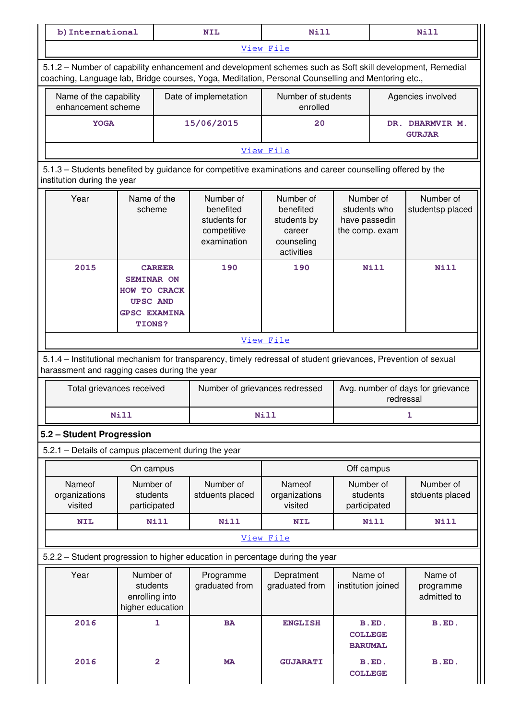| na.<br>-- | 37 T T<br>. .<br>---- | . | -- |
|-----------|-----------------------|---|----|
|           |                       |   |    |

[View File](https://assessmentonline.naac.gov.in/public/Postacc/Scholarships/8989_Scholarships_1617089330.xlsx)

 5.1.2 – Number of capability enhancement and development schemes such as Soft skill development, Remedial coaching, Language lab, Bridge courses, Yoga, Meditation, Personal Counselling and Mentoring etc.,

| Name of the capability<br>enhancement scheme | Date of implemetation | Number of students<br>enrolled | Agencies involved                          |  |  |
|----------------------------------------------|-----------------------|--------------------------------|--------------------------------------------|--|--|
| 15/06/2015<br><b>YOGA</b>                    |                       | 20                             | <b>DHARMVIR M.</b><br>DR.<br><b>GURJAR</b> |  |  |
| View File                                    |                       |                                |                                            |  |  |

 5.1.3 – Students benefited by guidance for competitive examinations and career counselling offered by the institution during the year

| Year | Name of the<br>scheme                                                                                         | Number of<br>benefited<br>students for<br>competitive<br>examination | Number of<br>benefited<br>students by<br>career<br>counseling<br>activities | Number of<br>students who<br>have passedin<br>the comp. exam | Number of<br>studentsp placed |
|------|---------------------------------------------------------------------------------------------------------------|----------------------------------------------------------------------|-----------------------------------------------------------------------------|--------------------------------------------------------------|-------------------------------|
| 2015 | <b>CAREER</b><br><b>SEMINAR ON</b><br>HOW TO CRACK<br><b>UPSC AND</b><br><b>GPSC EXAMINA</b><br><b>TIONS?</b> | 190                                                                  | 190                                                                         | Nill                                                         | Nill                          |

### [View File](https://assessmentonline.naac.gov.in/public/Postacc/Guidance/8989_Guidance_1617089700.xlsx)

 5.1.4 – Institutional mechanism for transparency, timely redressal of student grievances, Prevention of sexual harassment and ragging cases during the year

| Total grievances received | Number of grievances redressed | Avg. number of days for grievance<br>redressal |
|---------------------------|--------------------------------|------------------------------------------------|
| <b>Nill</b>               | Nill                           |                                                |

### **5.2 – Student Progression**

5.2.1 – Details of campus placement during the year

|                                    | On campus                             |                              | Off campus                         |                                       |                              |
|------------------------------------|---------------------------------------|------------------------------|------------------------------------|---------------------------------------|------------------------------|
| Nameof<br>organizations<br>visited | Number of<br>students<br>participated | Number of<br>stduents placed | Nameof<br>organizations<br>visited | Number of<br>students<br>participated | Number of<br>stduents placed |
| <b>NIL</b>                         | <b>Nill</b>                           | Nill                         | <b>NIL</b>                         | <b>Nill</b>                           | Nill                         |

### [View File](https://assessmentonline.naac.gov.in/public/Postacc/Placement/8989_Placement_1617089746.xlsx)

5.2.2 – Student progression to higher education in percentage during the year

| Year | Number of<br>students<br>enrolling into<br>higher education | Programme<br>graduated from | Depratment<br>graduated from | Name of<br>institution joined             | Name of<br>programme<br>admitted to |
|------|-------------------------------------------------------------|-----------------------------|------------------------------|-------------------------------------------|-------------------------------------|
| 2016 |                                                             | <b>BA</b>                   | <b>ENGLISH</b>               | B.ED.<br><b>COLLEGE</b><br><b>BARUMAL</b> | B.ED.                               |
| 2016 | 2                                                           | <b>MA</b>                   | <b>GUJARATI</b>              | B.ED.<br><b>COLLEGE</b>                   | B.ED.                               |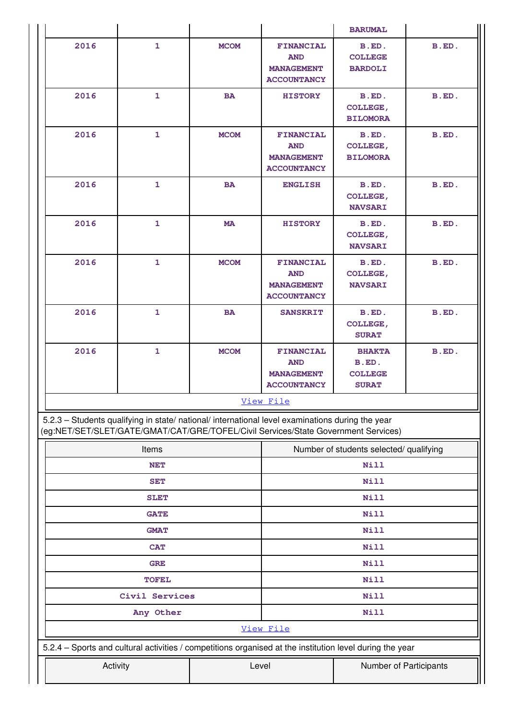|                                                                                                                                                                                        |                             |             |                                                                           | <b>BARUMAL</b>                                           |       |  |
|----------------------------------------------------------------------------------------------------------------------------------------------------------------------------------------|-----------------------------|-------------|---------------------------------------------------------------------------|----------------------------------------------------------|-------|--|
| 2016                                                                                                                                                                                   | $\mathbf{1}$                | <b>MCOM</b> | <b>FINANCIAL</b><br><b>AND</b><br><b>MANAGEMENT</b><br><b>ACCOUNTANCY</b> | B.ED.<br><b>COLLEGE</b><br><b>BARDOLI</b>                | B.ED. |  |
| 2016                                                                                                                                                                                   | $\mathbf{1}$                | <b>BA</b>   | <b>HISTORY</b>                                                            | B.ED.<br><b>COLLEGE,</b><br><b>BILOMORA</b>              | B.ED. |  |
| 2016                                                                                                                                                                                   | $\mathbf{1}$                | <b>MCOM</b> | <b>FINANCIAL</b><br><b>AND</b><br><b>MANAGEMENT</b><br><b>ACCOUNTANCY</b> | B.ED.<br><b>COLLEGE,</b><br><b>BILOMORA</b>              | B.ED. |  |
| 2016                                                                                                                                                                                   | $\mathbf{1}$                | <b>BA</b>   | <b>ENGLISH</b>                                                            | B.ED.<br>COLLEGE,<br><b>NAVSARI</b>                      | B.ED. |  |
| 2016                                                                                                                                                                                   | $\mathbf{1}$                | <b>MA</b>   | <b>HISTORY</b>                                                            | B.ED.<br>COLLEGE,<br><b>NAVSARI</b>                      | B.ED. |  |
| 2016                                                                                                                                                                                   | $\mathbf{1}$                | <b>MCOM</b> | <b>FINANCIAL</b><br><b>AND</b><br><b>MANAGEMENT</b><br><b>ACCOUNTANCY</b> | B.ED.<br><b>COLLEGE,</b><br><b>NAVSARI</b>               | B.ED. |  |
| 2016                                                                                                                                                                                   | $\mathbf{1}$                | <b>BA</b>   | <b>SANSKRIT</b>                                                           | B.ED.<br><b>COLLEGE,</b><br><b>SURAT</b>                 | B.ED. |  |
| 2016                                                                                                                                                                                   | $\mathbf{1}$                | <b>MCOM</b> | <b>FINANCIAL</b><br><b>AND</b><br><b>MANAGEMENT</b><br><b>ACCOUNTANCY</b> | <b>BHAKTA</b><br>B.ED.<br><b>COLLEGE</b><br><b>SURAT</b> | B.ED. |  |
|                                                                                                                                                                                        |                             |             | View File                                                                 |                                                          |       |  |
| 5.2.3 - Students qualifying in state/ national/ international level examinations during the year<br>(eg:NET/SET/SLET/GATE/GMAT/CAT/GRE/TOFEL/Civil Services/State Government Services) |                             |             |                                                                           |                                                          |       |  |
|                                                                                                                                                                                        | Items                       |             | Number of students selected/ qualifying                                   |                                                          |       |  |
|                                                                                                                                                                                        | <b>NET</b>                  |             | Nill                                                                      |                                                          |       |  |
|                                                                                                                                                                                        | <b>SET</b>                  |             |                                                                           | Nill                                                     |       |  |
|                                                                                                                                                                                        | <b>SLET</b>                 |             | Nill                                                                      |                                                          |       |  |
|                                                                                                                                                                                        | <b>GATE</b>                 |             |                                                                           | Nill                                                     |       |  |
|                                                                                                                                                                                        | <b>GMAT</b>                 |             |                                                                           | Nill                                                     |       |  |
|                                                                                                                                                                                        | <b>CAT</b>                  |             |                                                                           | Nill                                                     |       |  |
|                                                                                                                                                                                        | <b>GRE</b>                  |             |                                                                           | Nill                                                     |       |  |
|                                                                                                                                                                                        | <b>TOFEL</b>                |             |                                                                           | Nill<br>Nill                                             |       |  |
|                                                                                                                                                                                        | Civil Services<br>Any Other |             |                                                                           | Nill                                                     |       |  |
|                                                                                                                                                                                        |                             |             | View File                                                                 |                                                          |       |  |
| 5.2.4 - Sports and cultural activities / competitions organised at the institution level during the year                                                                               |                             |             |                                                                           |                                                          |       |  |
|                                                                                                                                                                                        | Activity<br>Level           |             |                                                                           | Number of Participants                                   |       |  |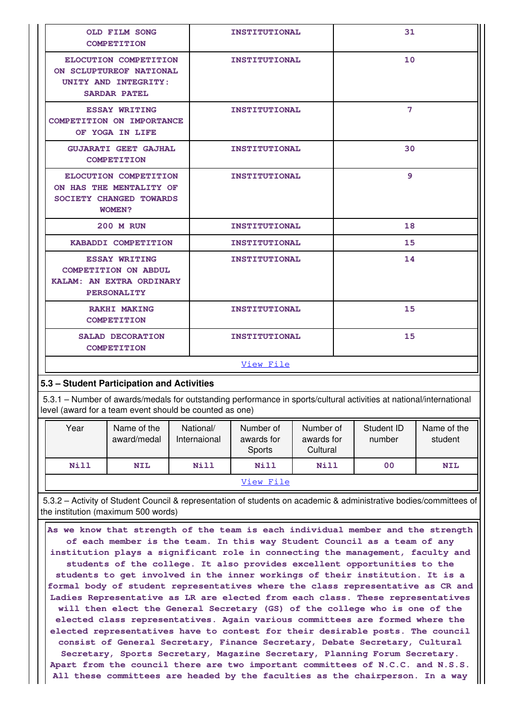| <b>OLD FILM SONG</b><br><b>COMPETITION</b>                                                                                                                                     | <b>INSTITUTIONAL</b>                       | 31 |  |  |  |  |
|--------------------------------------------------------------------------------------------------------------------------------------------------------------------------------|--------------------------------------------|----|--|--|--|--|
| ELOCUTION COMPETITION<br>ON SCLUPTUREOF NATIONAL<br>UNITY AND INTEGRITY:<br><b>SARDAR PATEL</b>                                                                                | <b>INSTITUTIONAL</b>                       | 10 |  |  |  |  |
| <b>ESSAY WRITING</b><br>COMPETITION ON IMPORTANCE<br>OF YOGA IN LIFE                                                                                                           | <b>INSTITUTIONAL</b>                       | 7  |  |  |  |  |
| <b>GUJARATI GEET GAJHAL</b><br><b>COMPETITION</b>                                                                                                                              | <b>INSTITUTIONAL</b>                       | 30 |  |  |  |  |
| ELOCUTION COMPETITION<br>ON HAS THE MENTALITY OF<br>SOCIETY CHANGED TOWARDS<br><b>WOMEN?</b>                                                                                   | <b>INSTITUTIONAL</b>                       | 9  |  |  |  |  |
| <b>200 M RUN</b>                                                                                                                                                               | <b>INSTITUTIONAL</b>                       | 18 |  |  |  |  |
| KABADDI COMPETITION                                                                                                                                                            | <b>INSTITUTIONAL</b>                       | 15 |  |  |  |  |
| <b>ESSAY WRITING</b><br><b>COMPETITION ON ABDUL</b><br>KALAM: AN EXTRA ORDINARY<br><b>PERSONALITY</b>                                                                          | <b>INSTITUTIONAL</b>                       | 14 |  |  |  |  |
| <b>RAKHI MAKING</b><br><b>COMPETITION</b>                                                                                                                                      | <b>INSTITUTIONAL</b>                       | 15 |  |  |  |  |
| <b>SALAD DECORATION</b><br><b>COMPETITION</b>                                                                                                                                  | <b>INSTITUTIONAL</b>                       | 15 |  |  |  |  |
|                                                                                                                                                                                | View File                                  |    |  |  |  |  |
|                                                                                                                                                                                | 5.3 - Student Participation and Activities |    |  |  |  |  |
| 5.3.1 - Number of awards/medals for outstanding performance in sports/cultural activities at national/international<br>level (award for a team event should be counted as one) |                                            |    |  |  |  |  |

| Year | Name of the<br>award/medal | National/<br>Internaional | Number of<br>awards for<br>Sports | Number of<br>awards for<br>Cultural | Student ID<br>number | Name of the<br>student |  |
|------|----------------------------|---------------------------|-----------------------------------|-------------------------------------|----------------------|------------------------|--|
| Nill | <b>NIL</b>                 | <b>Nill</b>               | Nill                              | <b>Nill</b>                         | 00                   | <b>NIL</b>             |  |
|      | View File                  |                           |                                   |                                     |                      |                        |  |

 5.3.2 – Activity of Student Council & representation of students on academic & administrative bodies/committees of the institution (maximum 500 words)

 **As we know that strength of the team is each individual member and the strength of each member is the team. In this way Student Council as a team of any institution plays a significant role in connecting the management, faculty and students of the college. It also provides excellent opportunities to the students to get involved in the inner workings of their institution. It is a formal body of student representatives where the class representative as CR and Ladies Representative as LR are elected from each class. These representatives will then elect the General Secretary (GS) of the college who is one of the elected class representatives. Again various committees are formed where the elected representatives have to contest for their desirable posts. The council consist of General Secretary, Finance Secretary, Debate Secretary, Cultural Secretary, Sports Secretary, Magazine Secretary, Planning Forum Secretary. Apart from the council there are two important committees of N.C.C. and N.S.S. All these committees are headed by the faculties as the chairperson. In a way**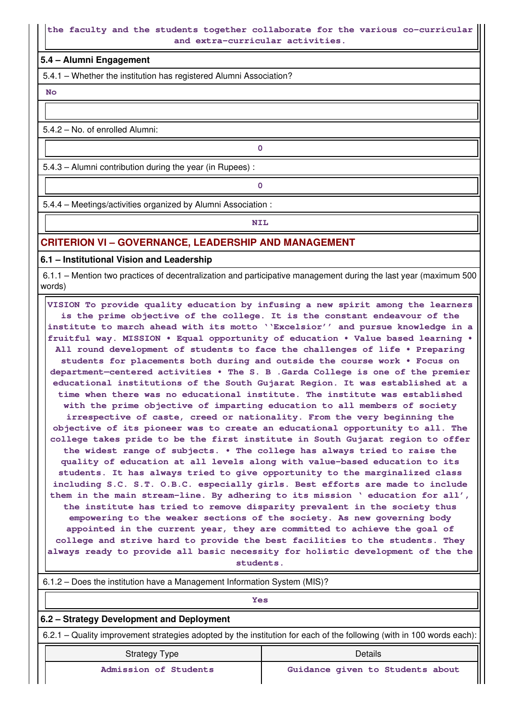### **the faculty and the students together collaborate for the various co-curricular and extra-curricular activities.**

### **5.4 – Alumni Engagement**

5.4.1 – Whether the institution has registered Alumni Association?

 **No**

5.4.2 – No. of enrolled Alumni:

5.4.3 – Alumni contribution during the year (in Rupees) :

**0**

**0**

5.4.4 – Meetings/activities organized by Alumni Association :

**NIL** 

## **CRITERION VI – GOVERNANCE, LEADERSHIP AND MANAGEMENT**

**6.1 – Institutional Vision and Leadership**

 6.1.1 – Mention two practices of decentralization and participative management during the last year (maximum 500 words)

 **VISION To provide quality education by infusing a new spirit among the learners is the prime objective of the college. It is the constant endeavour of the institute to march ahead with its motto ''Excelsior'' and pursue knowledge in a fruitful way. MISSION • Equal opportunity of education • Value based learning • All round development of students to face the challenges of life • Preparing students for placements both during and outside the course work • Focus on department—centered activities • The S. B .Garda College is one of the premier educational institutions of the South Gujarat Region. It was established at a time when there was no educational institute. The institute was established with the prime objective of imparting education to all members of society irrespective of caste, creed or nationality. From the very beginning the objective of its pioneer was to create an educational opportunity to all. The college takes pride to be the first institute in South Gujarat region to offer the widest range of subjects. • The college has always tried to raise the quality of education at all levels along with value-based education to its students. It has always tried to give opportunity to the marginalized class including S.C. S.T. O.B.C. especially girls. Best efforts are made to include them in the main stream-line. By adhering to its mission ' education for all', the institute has tried to remove disparity prevalent in the society thus empowering to the weaker sections of the society. As new governing body appointed in the current year, they are committed to achieve the goal of college and strive hard to provide the best facilities to the students. They always ready to provide all basic necessity for holistic development of the the students.**

 6.1.2 – Does the institution have a Management Information System (MIS)? *Yes* **6.2 – Strategy Development and Deployment** 6.2.1 – Quality improvement strategies adopted by the institution for each of the following (with in 100 words each): Strategy Type **Details Admission of Students Guidance given to Students about**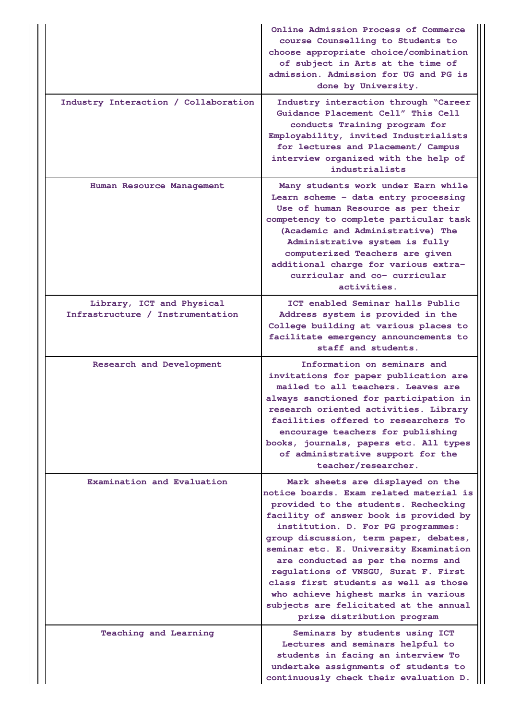|                                                               | Online Admission Process of Commerce<br>course Counselling to Students to<br>choose appropriate choice/combination<br>of subject in Arts at the time of<br>admission. Admission for UG and PG is<br>done by University.                                                                                                                                                                                                                                                                                                        |
|---------------------------------------------------------------|--------------------------------------------------------------------------------------------------------------------------------------------------------------------------------------------------------------------------------------------------------------------------------------------------------------------------------------------------------------------------------------------------------------------------------------------------------------------------------------------------------------------------------|
| Industry Interaction / Collaboration                          | Industry interaction through "Career<br>Guidance Placement Cell" This Cell<br>conducts Training program for<br>Employability, invited Industrialists<br>for lectures and Placement/ Campus<br>interview organized with the help of<br>industrialists                                                                                                                                                                                                                                                                           |
| Human Resource Management                                     | Many students work under Earn while<br>Learn scheme - data entry processing<br>Use of human Resource as per their<br>competency to complete particular task<br>(Academic and Administrative) The<br>Administrative system is fully<br>computerized Teachers are given<br>additional charge for various extra-<br>curricular and co- curricular<br>activities.                                                                                                                                                                  |
| Library, ICT and Physical<br>Infrastructure / Instrumentation | ICT enabled Seminar halls Public<br>Address system is provided in the<br>College building at various places to<br>facilitate emergency announcements to<br>staff and students.                                                                                                                                                                                                                                                                                                                                                 |
| Research and Development                                      | Information on seminars and<br>invitations for paper publication are<br>mailed to all teachers. Leaves are<br>always sanctioned for participation in<br>research oriented activities. Library<br>facilities offered to researchers To<br>encourage teachers for publishing<br>books, journals, papers etc. All types<br>of administrative support for the<br>teacher/researcher.                                                                                                                                               |
| Examination and Evaluation                                    | Mark sheets are displayed on the<br>notice boards. Exam related material is<br>provided to the students. Rechecking<br>facility of answer book is provided by<br>institution. D. For PG programmes:<br>group discussion, term paper, debates,<br>seminar etc. E. University Examination<br>are conducted as per the norms and<br>regulations of VNSGU, Surat F. First<br>class first students as well as those<br>who achieve highest marks in various<br>subjects are felicitated at the annual<br>prize distribution program |
| <b>Teaching and Learning</b>                                  | Seminars by students using ICT<br>Lectures and seminars helpful to<br>students in facing an interview To<br>undertake assignments of students to<br>continuously check their evaluation D.                                                                                                                                                                                                                                                                                                                                     |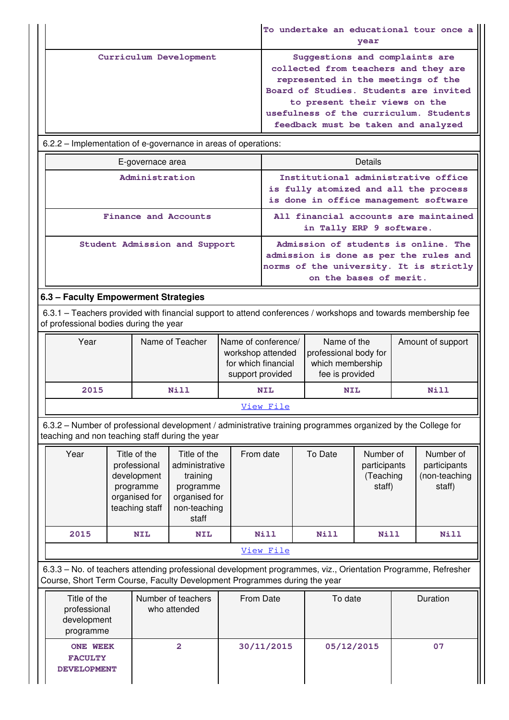|                        | To undertake an educational tour once a<br>year                                                                                                                                                                                                                          |
|------------------------|--------------------------------------------------------------------------------------------------------------------------------------------------------------------------------------------------------------------------------------------------------------------------|
| Curriculum Development | Suggestions and complaints are<br>collected from teachers and they are<br>represented in the meetings of the<br>Board of Studies. Students are invited<br>to present their views on the<br>usefulness of the curriculum. Students<br>feedback must be taken and analyzed |

6.2.2 – Implementation of e-governance in areas of operations:

| E-governace area              | Details                                                                                                                                             |
|-------------------------------|-----------------------------------------------------------------------------------------------------------------------------------------------------|
| Administration                | Institutional administrative office<br>is fully atomized and all the process<br>is done in office management software                               |
| Finance and Accounts          | All financial accounts are maintained<br>in Tally ERP 9 software.                                                                                   |
| Student Admission and Support | Admission of students is online. The<br>admission is done as per the rules and<br>norms of the university. It is strictly<br>on the bases of merit. |

## **6.3 – Faculty Empowerment Strategies**

 6.3.1 – Teachers provided with financial support to attend conferences / workshops and towards membership fee of professional bodies during the year

| Year      | Name of Teacher | Name of conference/<br>workshop attended<br>for which financial<br>support provided | Name of the<br>professional body for<br>which membership<br>fee is provided | Amount of support |  |  |
|-----------|-----------------|-------------------------------------------------------------------------------------|-----------------------------------------------------------------------------|-------------------|--|--|
| 2015      | <b>Nill</b>     | <b>NIL</b>                                                                          | <b>NIL</b>                                                                  | <b>Nill</b>       |  |  |
| View File |                 |                                                                                     |                                                                             |                   |  |  |

 6.3.2 – Number of professional development / administrative training programmes organized by the College for teaching and non teaching staff during the year

| Year | Title of the<br>professional<br>development<br>programme<br>organised for<br>teaching staff | Title of the<br>administrative<br>training<br>programme<br>organised for<br>non-teaching<br>staff | From date | To Date     | Number of<br>participants<br>(Teaching<br>staff) | Number of<br>participants<br>(non-teaching<br>staff) |  |
|------|---------------------------------------------------------------------------------------------|---------------------------------------------------------------------------------------------------|-----------|-------------|--------------------------------------------------|------------------------------------------------------|--|
| 2015 | <b>NIL</b>                                                                                  | <b>NIL</b>                                                                                        | Nill      | <b>Nill</b> | <b>Nill</b>                                      | Nill                                                 |  |
|      | View File                                                                                   |                                                                                                   |           |             |                                                  |                                                      |  |

 6.3.3 – No. of teachers attending professional development programmes, viz., Orientation Programme, Refresher Course, Short Term Course, Faculty Development Programmes during the year

| Title of the<br>professional<br>development<br>programme | Number of teachers<br>who attended | From Date  | To date    | Duration |
|----------------------------------------------------------|------------------------------------|------------|------------|----------|
| <b>ONE WEEK</b><br><b>FACULTY</b><br><b>DEVELOPMENT</b>  | 2                                  | 30/11/2015 | 05/12/2015 | 07       |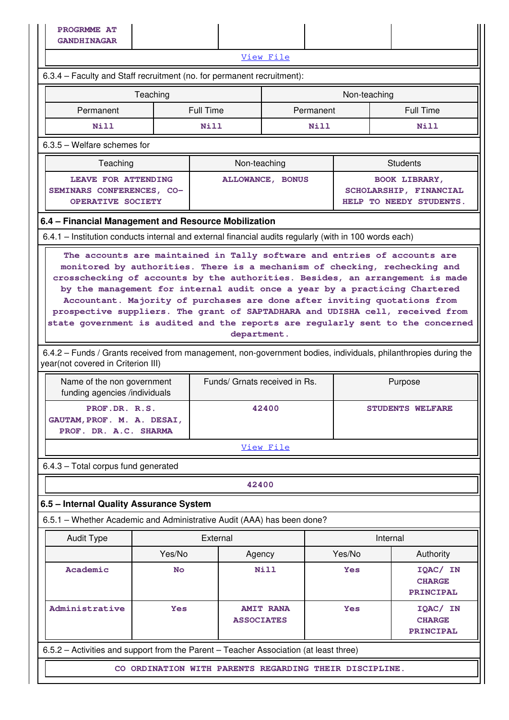6.3.5 – Welfare schemes for

| Teaching |                                                                              | Non-teaching            | <b>Students</b>                                                           |
|----------|------------------------------------------------------------------------------|-------------------------|---------------------------------------------------------------------------|
|          | LEAVE FOR ATTENDING<br>SEMINARS CONFERENCES, CO-<br><b>OPERATIVE SOCIETY</b> | <b>ALLOWANCE, BONUS</b> | <b>BOOK LIBRARY,</b><br>SCHOLARSHIP, FINANCIAL<br>HELP TO NEEDY STUDENTS. |

### **6.4 – Financial Management and Resource Mobilization**

6.4.1 – Institution conducts internal and external financial audits regularly (with in 100 words each)

 **The accounts are maintained in Tally software and entries of accounts are monitored by authorities. There is a mechanism of checking, rechecking and crosschecking of accounts by the authorities. Besides, an arrangement is made by the management for internal audit once a year by a practicing Chartered Accountant. Majority of purchases are done after inviting quotations from prospective suppliers. The grant of SAPTADHARA and UDISHA cell, received from state government is audited and the reports are regularly sent to the concerned department.**

 6.4.2 – Funds / Grants received from management, non-government bodies, individuals, philanthropies during the year(not covered in Criterion III)

| Name of the non government<br>funding agencies /individuals          | Funds/ Grnats received in Rs. | Purpose                 |  |  |
|----------------------------------------------------------------------|-------------------------------|-------------------------|--|--|
| PROF.DR. R.S.<br>GAUTAM, PROF. M. A. DESAI,<br>PROF. DR. A.C. SHARMA | 42400                         | <b>STUDENTS WELFARE</b> |  |  |
| View File                                                            |                               |                         |  |  |

6.4.3 – Total corpus fund generated

**42400**

### **6.5 – Internal Quality Assurance System**

6.5.1 – Whether Academic and Administrative Audit (AAA) has been done?

| <b>Audit Type</b>                                                                     | External                                            |                                       | Internal   |                                               |  |  |
|---------------------------------------------------------------------------------------|-----------------------------------------------------|---------------------------------------|------------|-----------------------------------------------|--|--|
|                                                                                       | Yes/No                                              | Agency                                | Yes/No     | Authority                                     |  |  |
| Academic                                                                              | <b>No</b>                                           | Nill                                  | <b>Yes</b> | IOAC/ IN<br><b>CHARGE</b><br><b>PRINCIPAL</b> |  |  |
| Administrative                                                                        | <b>Yes</b>                                          | <b>AMIT RANA</b><br><b>ASSOCIATES</b> | <b>Yes</b> | IOAC/ IN<br><b>CHARGE</b><br>PRINCIPAL        |  |  |
| 6.5.2 – Activities and support from the Parent – Teacher Association (at least three) |                                                     |                                       |            |                                               |  |  |
| CO.                                                                                   | ORDINATION WITH PARENTS REGARDING THEIR DISCIPLINE. |                                       |            |                                               |  |  |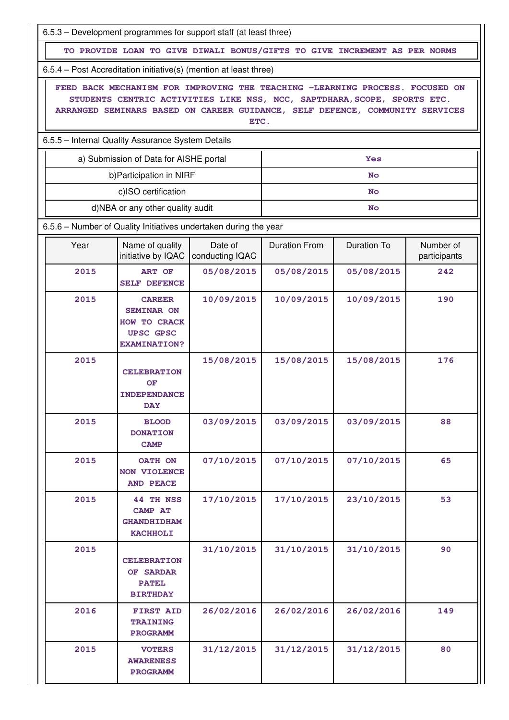|      | 6.5.3 – Development programmes for support staff (at least three)                                                                                                                                                                        |                            |                      |                    |                           |
|------|------------------------------------------------------------------------------------------------------------------------------------------------------------------------------------------------------------------------------------------|----------------------------|----------------------|--------------------|---------------------------|
|      | TO PROVIDE LOAN TO GIVE DIWALI BONUS/GIFTS TO GIVE INCREMENT AS PER NORMS                                                                                                                                                                |                            |                      |                    |                           |
|      | 6.5.4 – Post Accreditation initiative(s) (mention at least three)                                                                                                                                                                        |                            |                      |                    |                           |
|      | FEED BACK MECHANISM FOR IMPROVING THE TEACHING -LEARNING PROCESS. FOCUSED ON<br>STUDENTS CENTRIC ACTIVITIES LIKE NSS, NCC, SAPTDHARA, SCOPE, SPORTS ETC.<br>ARRANGED SEMINARS BASED ON CAREER GUIDANCE, SELF DEFENCE, COMMUNITY SERVICES | ETC.                       |                      |                    |                           |
|      | 6.5.5 - Internal Quality Assurance System Details                                                                                                                                                                                        |                            |                      |                    |                           |
|      | a) Submission of Data for AISHE portal                                                                                                                                                                                                   |                            |                      | Yes                |                           |
|      | b) Participation in NIRF                                                                                                                                                                                                                 |                            |                      | <b>No</b>          |                           |
|      | c)ISO certification                                                                                                                                                                                                                      |                            |                      | <b>No</b>          |                           |
|      | d)NBA or any other quality audit                                                                                                                                                                                                         |                            |                      | <b>No</b>          |                           |
|      | 6.5.6 - Number of Quality Initiatives undertaken during the year                                                                                                                                                                         |                            |                      |                    |                           |
| Year | Name of quality<br>initiative by IQAC                                                                                                                                                                                                    | Date of<br>conducting IQAC | <b>Duration From</b> | <b>Duration To</b> | Number of<br>participants |
| 2015 | <b>ART OF</b><br><b>SELF DEFENCE</b>                                                                                                                                                                                                     | 05/08/2015                 | 05/08/2015           | 05/08/2015         | 242                       |
| 2015 | <b>CAREER</b><br><b>SEMINAR ON</b><br>HOW TO CRACK<br><b>UPSC GPSC</b><br><b>EXAMINATION?</b>                                                                                                                                            | 10/09/2015                 | 10/09/2015           | 10/09/2015         | 190                       |
| 2015 | <b>CELEBRATION</b><br>OF<br><b>INDEPENDANCE</b><br><b>DAY</b>                                                                                                                                                                            | 15/08/2015                 | 15/08/2015           | 15/08/2015         | 176                       |
| 2015 | <b>BLOOD</b><br><b>DONATION</b><br><b>CAMP</b>                                                                                                                                                                                           | 03/09/2015                 | 03/09/2015           | 03/09/2015         | 88                        |
| 2015 | OATH ON<br><b>NON VIOLENCE</b><br><b>AND PEACE</b>                                                                                                                                                                                       | 07/10/2015                 | 07/10/2015           | 07/10/2015         | 65                        |
| 2015 | <b>44 TH NSS</b><br><b>CAMP AT</b><br><b>GHANDHIDHAM</b><br><b>KACHHOLI</b>                                                                                                                                                              | 17/10/2015                 | 17/10/2015           | 23/10/2015         | 53                        |
| 2015 | <b>CELEBRATION</b><br>OF SARDAR<br><b>PATEL</b><br><b>BIRTHDAY</b>                                                                                                                                                                       | 31/10/2015                 | 31/10/2015           | 31/10/2015         | 90                        |
| 2016 | <b>FIRST AID</b><br><b>TRAINING</b><br><b>PROGRAMM</b>                                                                                                                                                                                   | 26/02/2016                 | 26/02/2016           | 26/02/2016         | 149                       |
| 2015 | <b>VOTERS</b><br><b>AWARENESS</b><br><b>PROGRAMM</b>                                                                                                                                                                                     | 31/12/2015                 | 31/12/2015           | 31/12/2015         | 80                        |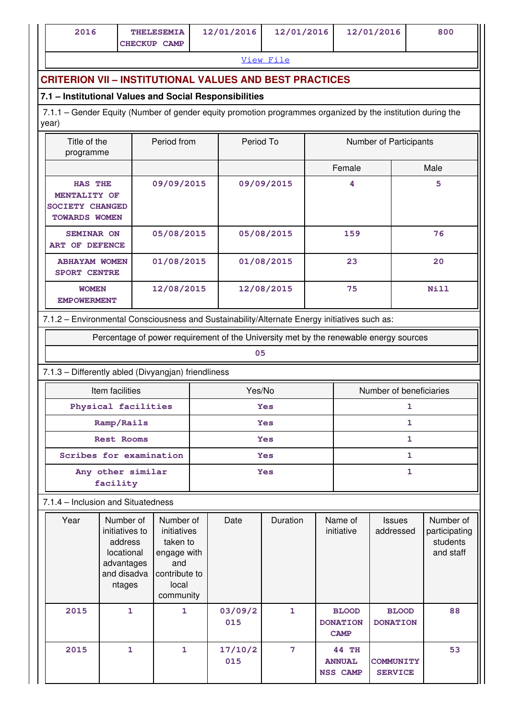| 2016 | <b>THELESEMIA</b>   | 12/01/2016 | 12/01/2016 | 12/01/2016 | 800 |
|------|---------------------|------------|------------|------------|-----|
|      | <b>CHECKUP CAMP</b> |            |            |            |     |

[View File](https://assessmentonline.naac.gov.in/public/Postacc/Quality_Initiatives_B/8989_Quality_Initiatives_B_1617093368.xlsx)

### **CRITERION VII – INSTITUTIONAL VALUES AND BEST PRACTICES**

### **7.1 – Institutional Values and Social Responsibilities**

 7.1.1 – Gender Equity (Number of gender equity promotion programmes organized by the institution during the year)

| Title of the<br>programme                                                        | Period from | Period To  | <b>Number of Participants</b> |      |
|----------------------------------------------------------------------------------|-------------|------------|-------------------------------|------|
|                                                                                  |             |            | Female                        | Male |
| <b>HAS THE</b><br>MENTALITY OF<br><b>SOCIETY CHANGED</b><br><b>TOWARDS WOMEN</b> | 09/09/2015  | 09/09/2015 | 4                             | 5    |
| <b>SEMINAR ON</b><br><b>DEFENCE</b><br>ART OF                                    | 05/08/2015  | 05/08/2015 | 159                           | 76   |
| <b>ABHAYAM WOMEN</b><br><b>SPORT CENTRE</b>                                      | 01/08/2015  | 01/08/2015 | 23                            | 20   |
| <b>WOMEN</b><br><b>EMPOWERMENT</b>                                               | 12/08/2015  | 12/08/2015 | 75                            | Nill |

### 7.1.2 – Environmental Consciousness and Sustainability/Alternate Energy initiatives such as:

Percentage of power requirement of the University met by the renewable energy sources

#### **05**

### 7.1.3 – Differently abled (Divyangjan) friendliness

| Item facilities               | Yes/No     | Number of beneficiaries |  |  |
|-------------------------------|------------|-------------------------|--|--|
| Physical facilities           | <b>Yes</b> |                         |  |  |
| Ramp/Rails                    | <b>Yes</b> |                         |  |  |
| <b>Rest Rooms</b>             | <b>Yes</b> |                         |  |  |
| Scribes for examination       | <b>Yes</b> |                         |  |  |
| Any other similar<br>facility | <b>Yes</b> |                         |  |  |

### 7.1.4 – Inclusion and Situatedness

| Year | Number of<br>initiatives to<br>address<br>locational<br>advantages<br>and disadva<br>ntages | Number of<br>initiatives<br>taken to<br>engage with<br>and<br>contribute to<br>local<br>community | Date           | Duration     | Name of<br>initiative                            | <b>Issues</b><br>addressed         | Number of<br>participating<br>students<br>and staff |
|------|---------------------------------------------------------------------------------------------|---------------------------------------------------------------------------------------------------|----------------|--------------|--------------------------------------------------|------------------------------------|-----------------------------------------------------|
| 2015 | 1                                                                                           | 1                                                                                                 | 03/09/2<br>015 | $\mathbf{1}$ | <b>BLOOD</b><br><b>DONATION</b><br><b>CAMP</b>   | <b>BLOOD</b><br><b>DONATION</b>    | 88                                                  |
| 2015 | 1                                                                                           | 1                                                                                                 | 17/10/2<br>015 | 7            | <b>44 TH</b><br><b>ANNUAL</b><br><b>NSS CAMP</b> | <b>COMMUNITY</b><br><b>SERVICE</b> | 53                                                  |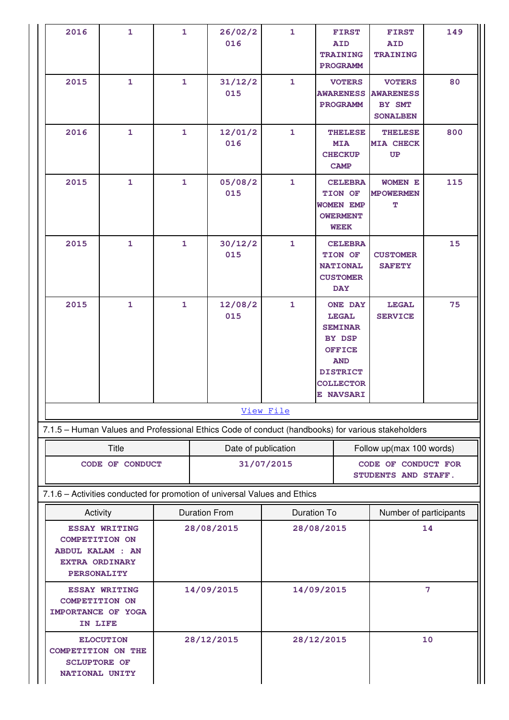|  | 2016                                                                                                                                                                     | $\mathbf{1}$ | $\mathbf{1}$ |                      | 26/02/2<br>016      | $\mathbf{1}$ | <b>FIRST</b><br><b>AID</b><br><b>TRAINING</b><br><b>PROGRAMM</b><br><b>VOTERS</b><br><b>AWARENESS</b><br><b>PROGRAMM</b><br><b>THELESE</b><br><b>MIA</b><br><b>CHECKUP</b><br><b>CAMP</b><br><b>CELEBRA</b><br>TION OF<br><b>WOMEN EMP</b><br><b>OWERMENT</b><br><b>WEEK</b> |                                            | <b>FIRST</b><br><b>AID</b><br><b>TRAINING</b>                  | 149                    |  |
|--|--------------------------------------------------------------------------------------------------------------------------------------------------------------------------|--------------|--------------|----------------------|---------------------|--------------|------------------------------------------------------------------------------------------------------------------------------------------------------------------------------------------------------------------------------------------------------------------------------|--------------------------------------------|----------------------------------------------------------------|------------------------|--|
|  | 2015                                                                                                                                                                     | 1            | $\mathbf{1}$ |                      | 31/12/2<br>015      | 1            |                                                                                                                                                                                                                                                                              |                                            | <b>VOTERS</b><br><b>AWARENESS</b><br>BY SMT<br><b>SONALBEN</b> | 80                     |  |
|  | 2016                                                                                                                                                                     | 1            | $\mathbf{1}$ |                      | 12/01/2<br>016      | $\mathbf{1}$ |                                                                                                                                                                                                                                                                              |                                            | <b>THELESE</b><br><b>MIA CHECK</b><br>UP                       | 800                    |  |
|  | 2015                                                                                                                                                                     | 1            | $\mathbf{1}$ |                      | 05/08/2<br>015      | $\mathbf{1}$ |                                                                                                                                                                                                                                                                              |                                            | <b>WOMEN E</b><br><b>MPOWERMEN</b><br>т                        | 115                    |  |
|  | 2015                                                                                                                                                                     | $\mathbf{1}$ | $\mathbf{1}$ |                      | 30/12/2<br>015      | $\mathbf{1}$ | <b>CELEBRA</b><br>TION OF<br><b>NATIONAL</b><br><b>CUSTOMER</b><br><b>DAY</b>                                                                                                                                                                                                |                                            | <b>CUSTOMER</b><br><b>SAFETY</b>                               | 15                     |  |
|  | 2015                                                                                                                                                                     | $\mathbf{1}$ | $\mathbf{1}$ |                      | 12/08/2<br>015      | $\mathbf{1}$ | <b>ONE DAY</b><br><b>LEGAL</b><br><b>SEMINAR</b><br>BY DSP<br><b>OFFICE</b><br><b>AND</b><br><b>DISTRICT</b><br><b>COLLECTOR</b><br><b>E NAVSARI</b>                                                                                                                         |                                            | <b>LEGAL</b><br><b>SERVICE</b>                                 | 75                     |  |
|  |                                                                                                                                                                          |              |              |                      |                     | View File    |                                                                                                                                                                                                                                                                              |                                            |                                                                |                        |  |
|  | 7.1.5 - Human Values and Professional Ethics Code of conduct (handbooks) for various stakeholders                                                                        |              |              |                      |                     |              |                                                                                                                                                                                                                                                                              |                                            |                                                                |                        |  |
|  | <b>Title</b>                                                                                                                                                             |              |              |                      | Date of publication |              |                                                                                                                                                                                                                                                                              |                                            | Follow up(max 100 words)                                       |                        |  |
|  | CODE OF CONDUCT                                                                                                                                                          |              |              |                      | 31/07/2015          |              |                                                                                                                                                                                                                                                                              | CODE OF CONDUCT FOR<br>STUDENTS AND STAFF. |                                                                |                        |  |
|  | 7.1.6 - Activities conducted for promotion of universal Values and Ethics                                                                                                |              |              |                      |                     |              |                                                                                                                                                                                                                                                                              |                                            |                                                                |                        |  |
|  | Activity                                                                                                                                                                 |              |              | <b>Duration From</b> |                     |              | <b>Duration To</b>                                                                                                                                                                                                                                                           |                                            |                                                                | Number of participants |  |
|  | <b>ESSAY WRITING</b><br><b>COMPETITION ON</b><br><b>ABDUL KALAM: AN</b><br><b>EXTRA ORDINARY</b><br><b>PERSONALITY</b>                                                   |              |              | 28/08/2015           |                     | 28/08/2015   |                                                                                                                                                                                                                                                                              | 14                                         |                                                                |                        |  |
|  | <b>ESSAY WRITING</b><br><b>COMPETITION ON</b><br>IMPORTANCE OF YOGA<br>IN LIFE<br><b>ELOCUTION</b><br><b>COMPETITION ON THE</b><br><b>SCLUPTORE OF</b><br>NATIONAL UNITY |              | 14/09/2015   |                      | 14/09/2015          |              | 7                                                                                                                                                                                                                                                                            |                                            |                                                                |                        |  |
|  |                                                                                                                                                                          |              |              | 28/12/2015           |                     | 28/12/2015   |                                                                                                                                                                                                                                                                              | 10                                         |                                                                |                        |  |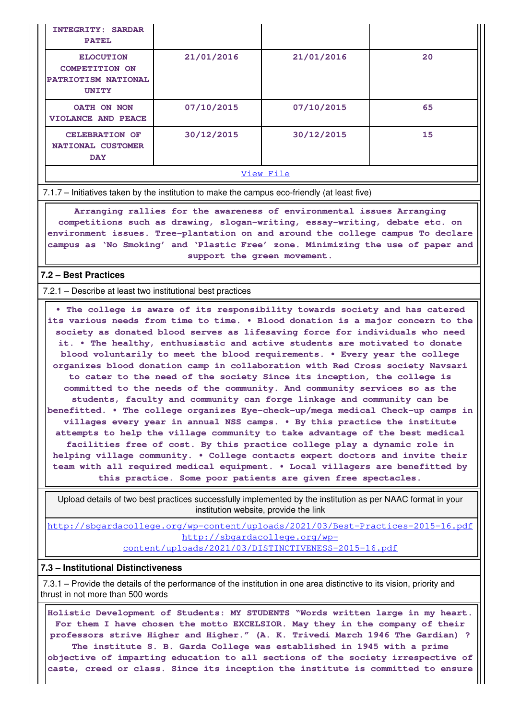| <b>INTEGRITY: SARDAR</b><br><b>PATEL</b>                                         |            |            |    |  |  |  |
|----------------------------------------------------------------------------------|------------|------------|----|--|--|--|
| <b>ELOCUTION</b><br><b>COMPETITION ON</b><br>PATRIOTISM NATIONAL<br><b>UNITY</b> | 21/01/2016 | 21/01/2016 | 20 |  |  |  |
| OATH ON NON<br><b>VIOLANCE AND PEACE</b>                                         | 07/10/2015 | 07/10/2015 | 65 |  |  |  |
| <b>CELEBRATION OF</b><br>NATIONAL CUSTOMER<br><b>DAY</b>                         | 30/12/2015 | 30/12/2015 | 15 |  |  |  |
| View File                                                                        |            |            |    |  |  |  |

7.1.7 – Initiatives taken by the institution to make the campus eco-friendly (at least five)

 **Arranging rallies for the awareness of environmental issues Arranging competitions such as drawing, slogan-writing, essay-writing, debate etc. on environment issues. Tree-plantation on and around the college campus To declare campus as 'No Smoking' and 'Plastic Free' zone. Minimizing the use of paper and support the green movement.**

### **7.2 – Best Practices**

7.2.1 – Describe at least two institutional best practices

 **• The college is aware of its responsibility towards society and has catered its various needs from time to time. • Blood donation is a major concern to the society as donated blood serves as lifesaving force for individuals who need it. • The healthy, enthusiastic and active students are motivated to donate blood voluntarily to meet the blood requirements. • Every year the college organizes blood donation camp in collaboration with Red Cross society Navsari to cater to the need of the society Since its inception, the college is committed to the needs of the community. And community services so as the students, faculty and community can forge linkage and community can be benefitted. • The college organizes Eye-check-up/mega medical Check-up camps in villages every year in annual NSS camps. • By this practice the institute attempts to help the village community to take advantage of the best medical facilities free of cost. By this practice college play a dynamic role in helping village community. • College contacts expert doctors and invite their team with all required medical equipment. • Local villagers are benefitted by this practice. Some poor patients are given free spectacles.**

 Upload details of two best practices successfully implemented by the institution as per NAAC format in your institution website, provide the link

[http://sbgardacollege.org/wp-content/uploads/2021/03/Best-Practices-2015-16.pdf](http://sbgardacollege.org/wp-content/uploads/2021/03/Best-Practices-2015-16.pdfhttp://sbgardacollege.org/wp-content/uploads/2021/03/DISTINCTIVENESS-2015-16.pdf) [http://sbgardacollege.org/wp](http://sbgardacollege.org/wp-content/uploads/2021/03/Best-Practices-2015-16.pdfhttp://sbgardacollege.org/wp-content/uploads/2021/03/DISTINCTIVENESS-2015-16.pdf)[content/uploads/2021/03/DISTINCTIVENESS-2015-16.pdf](http://sbgardacollege.org/wp-content/uploads/2021/03/Best-Practices-2015-16.pdfhttp://sbgardacollege.org/wp-content/uploads/2021/03/DISTINCTIVENESS-2015-16.pdf)

### **7.3 – Institutional Distinctiveness**

 7.3.1 – Provide the details of the performance of the institution in one area distinctive to its vision, priority and thrust in not more than 500 words

 **Holistic Development of Students: MY STUDENTS "Words written large in my heart. For them I have chosen the motto EXCELSIOR. May they in the company of their professors strive Higher and Higher." (A. K. Trivedi March 1946 The Gardian) ? The institute S. B. Garda College was established in 1945 with a prime objective of imparting education to all sections of the society irrespective of caste, creed or class. Since its inception the institute is committed to ensure**